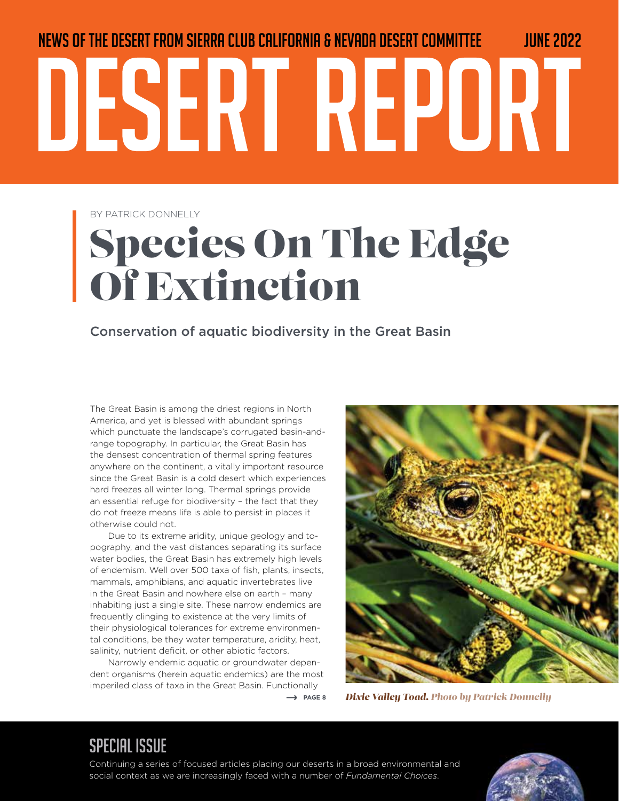# News of the desert from Sierra Club California & Nevada Desert Committee JUNE 2022 DESERT REPORT

BY PATRICK DONNELLY

## Species On The Edge Of Extinction

Conservation of aquatic biodiversity in the Great Basin

The Great Basin is among the driest regions in North America, and yet is blessed with abundant springs which punctuate the landscape's corrugated basin-andrange topography. In particular, the Great Basin has the densest concentration of thermal spring features anywhere on the continent, a vitally important resource since the Great Basin is a cold desert which experiences hard freezes all winter long. Thermal springs provide an essential refuge for biodiversity – the fact that they do not freeze means life is able to persist in places it otherwise could not.

Due to its extreme aridity, unique geology and topography, and the vast distances separating its surface water bodies, the Great Basin has extremely high levels of endemism. Well over 500 taxa of fish, plants, insects, mammals, amphibians, and aquatic invertebrates live in the Great Basin and nowhere else on earth – many inhabiting just a single site. These narrow endemics are frequently clinging to existence at the very limits of their physiological tolerances for extreme environmental conditions, be they water temperature, aridity, heat, salinity, nutrient deficit, or other abiotic factors.

Narrowly endemic aquatic or groundwater dependent organisms (herein aquatic endemics) are the most imperiled class of taxa in the Great Basin. Functionally

*Dixie Valley Toad. Photo by Patrick Donnelly*

#### $\rightarrow$  PAGE 8

### SPECIAL ISSUE

Continuing a series of focused articles placing our deserts in a broad environmental and social context as we are increasingly faced with a number of *Fundamental Choices*.

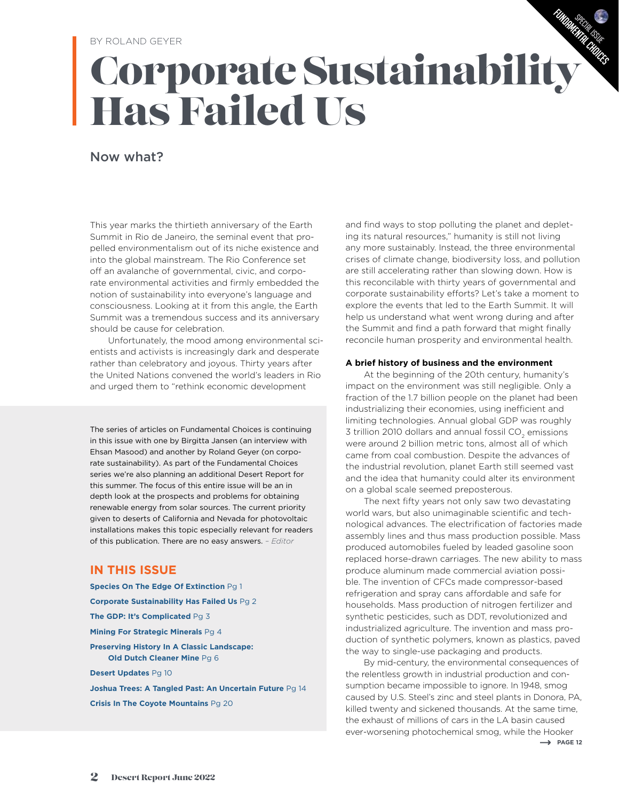#### BY ROLAND GEYER

## Corporate Sustainability Has Failed Us FUNDAMENTAL CHOICES

#### Now what?

This year marks the thirtieth anniversary of the Earth Summit in Rio de Janeiro, the seminal event that propelled environmentalism out of its niche existence and into the global mainstream. The Rio Conference set off an avalanche of governmental, civic, and corporate environmental activities and firmly embedded the notion of sustainability into everyone's language and consciousness. Looking at it from this angle, the Earth Summit was a tremendous success and its anniversary should be cause for celebration.

Unfortunately, the mood among environmental scientists and activists is increasingly dark and desperate rather than celebratory and joyous. Thirty years after the United Nations convened the world's leaders in Rio and urged them to "rethink economic development

The series of articles on Fundamental Choices is continuing in this issue with one by Birgitta Jansen (an interview with Ehsan Masood) and another by Roland Geyer (on corporate sustainability). As part of the Fundamental Choices series we're also planning an additional Desert Report for this summer. The focus of this entire issue will be an in depth look at the prospects and problems for obtaining renewable energy from solar sources. The current priority given to deserts of California and Nevada for photovoltaic installations makes this topic especially relevant for readers of this publication. There are no easy answers. *– Editor*

#### **IN THIS ISSUE**

**Species On The Edge Of Extinction** Pg 1 **Corporate Sustainability Has Failed Us** Pg 2 **The GDP: It's Complicated** Pg 3 **Mining For Strategic Minerals** Pg 4 **Preserving History In A Classic Landscape: Old Dutch Cleaner Mine** Pg 6 **Desert Updates** Pg 10 **Joshua Trees: A Tangled Past: An Uncertain Future** Pg 14 **Crisis In The Coyote Mountains** Pg 20

and find ways to stop polluting the planet and depleting its natural resources," humanity is still not living any more sustainably. Instead, the three environmental crises of climate change, biodiversity loss, and pollution are still accelerating rather than slowing down. How is this reconcilable with thirty years of governmental and corporate sustainability efforts? Let's take a moment to explore the events that led to the Earth Summit. It will help us understand what went wrong during and after the Summit and find a path forward that might finally reconcile human prosperity and environmental health.

Sp<sub>ECIAL</sub> ISSUE

#### **A brief history of business and the environment**

At the beginning of the 20th century, humanity's impact on the environment was still negligible. Only a fraction of the 1.7 billion people on the planet had been industrializing their economies, using inefficient and limiting technologies. Annual global GDP was roughly 3 trillion 2010 dollars and annual fossil CO<sub>2</sub> emissions were around 2 billion metric tons, almost all of which came from coal combustion. Despite the advances of the industrial revolution, planet Earth still seemed vast and the idea that humanity could alter its environment on a global scale seemed preposterous.

The next fifty years not only saw two devastating world wars, but also unimaginable scientific and technological advances. The electrification of factories made assembly lines and thus mass production possible. Mass produced automobiles fueled by leaded gasoline soon replaced horse-drawn carriages. The new ability to mass produce aluminum made commercial aviation possible. The invention of CFCs made compressor-based refrigeration and spray cans affordable and safe for households. Mass production of nitrogen fertilizer and synthetic pesticides, such as DDT, revolutionized and industrialized agriculture. The invention and mass production of synthetic polymers, known as plastics, paved the way to single-use packaging and products.

 $\rightarrow$  PAGE 12 By mid-century, the environmental consequences of the relentless growth in industrial production and consumption became impossible to ignore. In 1948, smog caused by U.S. Steel's zinc and steel plants in Donora, PA, killed twenty and sickened thousands. At the same time, the exhaust of millions of cars in the LA basin caused ever-worsening photochemical smog, while the Hooker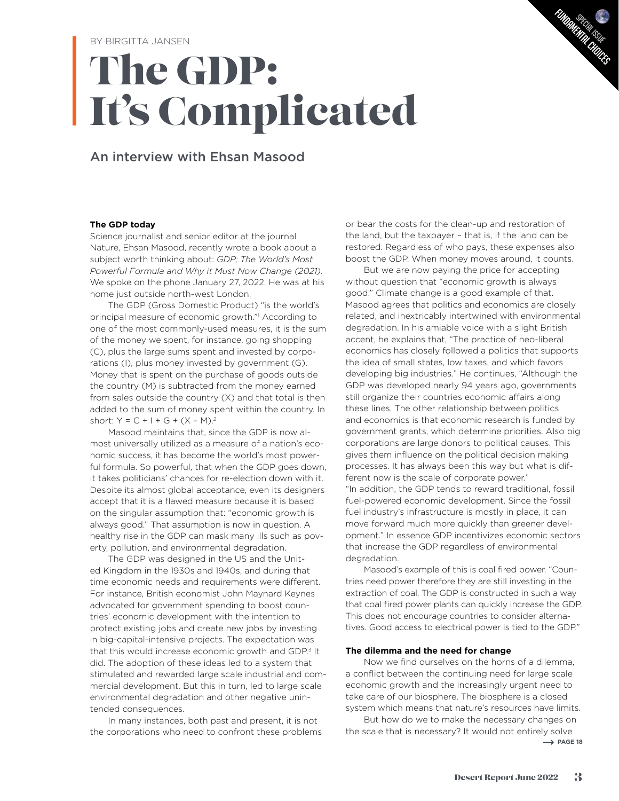## The GDP: It's Complicated

#### An interview with Ehsan Masood

#### **The GDP today**

Science journalist and senior editor at the journal Nature, Ehsan Masood, recently wrote a book about a subject worth thinking about: *GDP; The World's Most Powerful Formula and Why it Must Now Change (2021).*  We spoke on the phone January 27, 2022. He was at his home just outside north-west London.

The GDP (Gross Domestic Product) "is the world's principal measure of economic growth."1 According to one of the most commonly-used measures, it is the sum of the money we spent, for instance, going shopping (C), plus the large sums spent and invested by corporations (I), plus money invested by government (G). Money that is spent on the purchase of goods outside the country (M) is subtracted from the money earned from sales outside the country (X) and that total is then added to the sum of money spent within the country. In short:  $Y = C + 1 + G + (X - M)^2$ 

Masood maintains that, since the GDP is now almost universally utilized as a measure of a nation's economic success, it has become the world's most powerful formula. So powerful, that when the GDP goes down, it takes politicians' chances for re-election down with it. Despite its almost global acceptance, even its designers accept that it is a flawed measure because it is based on the singular assumption that: "economic growth is always good." That assumption is now in question. A healthy rise in the GDP can mask many ills such as poverty, pollution, and environmental degradation.

The GDP was designed in the US and the United Kingdom in the 1930s and 1940s, and during that time economic needs and requirements were different. For instance, British economist John Maynard Keynes advocated for government spending to boost countries' economic development with the intention to protect existing jobs and create new jobs by investing in big-capital-intensive projects. The expectation was that this would increase economic growth and GDP.<sup>3</sup> It did. The adoption of these ideas led to a system that stimulated and rewarded large scale industrial and commercial development. But this in turn, led to large scale environmental degradation and other negative unintended consequences.

In many instances, both past and present, it is not the corporations who need to confront these problems

or bear the costs for the clean-up and restoration of the land, but the taxpayer – that is, if the land can be restored. Regardless of who pays, these expenses also boost the GDP. When money moves around, it counts.

Sp<sub>ECIAL</sub> ISSUE FUNDAMENTAL CHUTES

But we are now paying the price for accepting without question that "economic growth is always good." Climate change is a good example of that. Masood agrees that politics and economics are closely related, and inextricably intertwined with environmental degradation. In his amiable voice with a slight British accent, he explains that, "The practice of neo-liberal economics has closely followed a politics that supports the idea of small states, low taxes, and which favors developing big industries." He continues, "Although the GDP was developed nearly 94 years ago, governments still organize their countries economic affairs along these lines. The other relationship between politics and economics is that economic research is funded by government grants, which determine priorities. Also big corporations are large donors to political causes. This gives them influence on the political decision making processes. It has always been this way but what is different now is the scale of corporate power." "In addition, the GDP tends to reward traditional, fossil fuel-powered economic development. Since the fossil fuel industry's infrastructure is mostly in place, it can move forward much more quickly than greener development." In essence GDP incentivizes economic sectors that increase the GDP regardless of environmental degradation.

Masood's example of this is coal fired power. "Countries need power therefore they are still investing in the extraction of coal. The GDP is constructed in such a way that coal fired power plants can quickly increase the GDP. This does not encourage countries to consider alternatives. Good access to electrical power is tied to the GDP."

#### **The dilemma and the need for change**

Now we find ourselves on the horns of a dilemma, a conflict between the continuing need for large scale economic growth and the increasingly urgent need to take care of our biosphere. The biosphere is a closed system which means that nature's resources have limits.

But how do we to make the necessary changes on the scale that is necessary? It would not entirely solve  $\rightarrow$  PAGE 18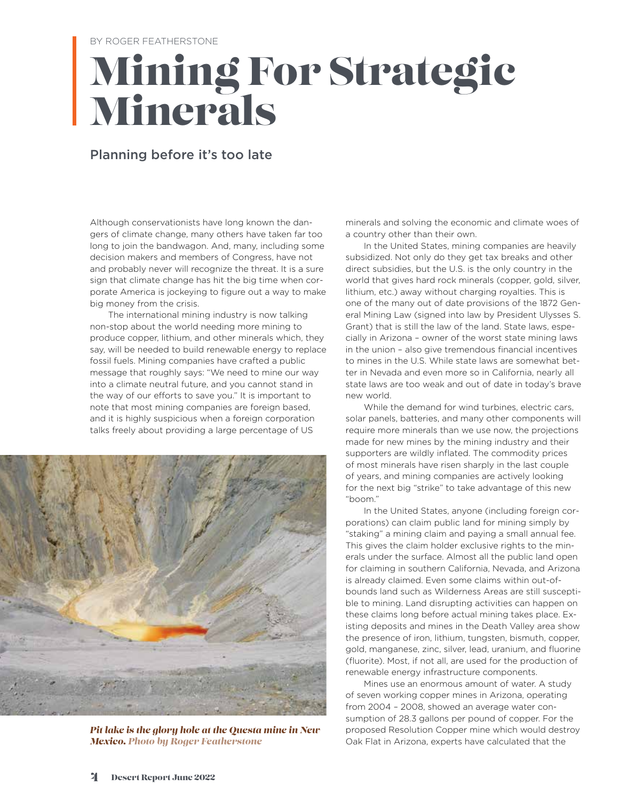#### BY ROGER FEATHERSTONE

## Mining For Strategic Minerals

#### Planning before it's too late

Although conservationists have long known the dangers of climate change, many others have taken far too long to join the bandwagon. And, many, including some decision makers and members of Congress, have not and probably never will recognize the threat. It is a sure sign that climate change has hit the big time when corporate America is jockeying to figure out a way to make big money from the crisis.

The international mining industry is now talking non-stop about the world needing more mining to produce copper, lithium, and other minerals which, they say, will be needed to build renewable energy to replace fossil fuels. Mining companies have crafted a public message that roughly says: "We need to mine our way into a climate neutral future, and you cannot stand in the way of our efforts to save you." It is important to note that most mining companies are foreign based, and it is highly suspicious when a foreign corporation talks freely about providing a large percentage of US



*Pit lake is the glory hole at the Questa mine in New Mexico. Photo by Roger Featherstone*

minerals and solving the economic and climate woes of a country other than their own.

In the United States, mining companies are heavily subsidized. Not only do they get tax breaks and other direct subsidies, but the U.S. is the only country in the world that gives hard rock minerals (copper, gold, silver, lithium, etc.) away without charging royalties. This is one of the many out of date provisions of the 1872 General Mining Law (signed into law by President Ulysses S. Grant) that is still the law of the land. State laws, especially in Arizona – owner of the worst state mining laws in the union – also give tremendous financial incentives to mines in the U.S. While state laws are somewhat better in Nevada and even more so in California, nearly all state laws are too weak and out of date in today's brave new world.

While the demand for wind turbines, electric cars, solar panels, batteries, and many other components will require more minerals than we use now, the projections made for new mines by the mining industry and their supporters are wildly inflated. The commodity prices of most minerals have risen sharply in the last couple of years, and mining companies are actively looking for the next big "strike" to take advantage of this new "boom."

In the United States, anyone (including foreign corporations) can claim public land for mining simply by "staking" a mining claim and paying a small annual fee. This gives the claim holder exclusive rights to the minerals under the surface. Almost all the public land open for claiming in southern California, Nevada, and Arizona is already claimed. Even some claims within out-ofbounds land such as Wilderness Areas are still susceptible to mining. Land disrupting activities can happen on these claims long before actual mining takes place. Existing deposits and mines in the Death Valley area show the presence of iron, lithium, tungsten, bismuth, copper, gold, manganese, zinc, silver, lead, uranium, and fluorine (fluorite). Most, if not all, are used for the production of renewable energy infrastructure components.

Mines use an enormous amount of water. A study of seven working copper mines in Arizona, operating from 2004 – 2008, showed an average water consumption of 28.3 gallons per pound of copper. For the proposed Resolution Copper mine which would destroy Oak Flat in Arizona, experts have calculated that the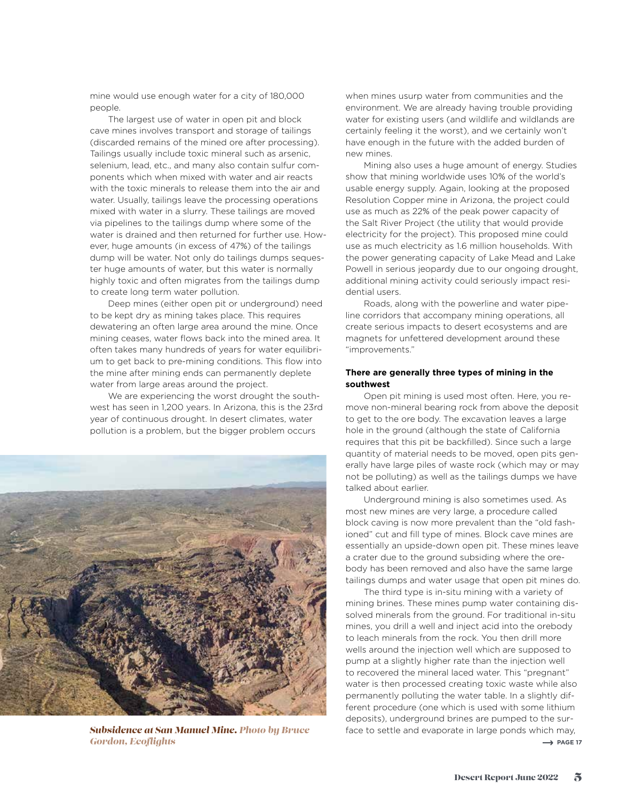mine would use enough water for a city of 180,000 people.

The largest use of water in open pit and block cave mines involves transport and storage of tailings (discarded remains of the mined ore after processing). Tailings usually include toxic mineral such as arsenic, selenium, lead, etc., and many also contain sulfur components which when mixed with water and air reacts with the toxic minerals to release them into the air and water. Usually, tailings leave the processing operations mixed with water in a slurry. These tailings are moved via pipelines to the tailings dump where some of the water is drained and then returned for further use. However, huge amounts (in excess of 47%) of the tailings dump will be water. Not only do tailings dumps sequester huge amounts of water, but this water is normally highly toxic and often migrates from the tailings dump to create long term water pollution.

Deep mines (either open pit or underground) need to be kept dry as mining takes place. This requires dewatering an often large area around the mine. Once mining ceases, water flows back into the mined area. It often takes many hundreds of years for water equilibrium to get back to pre-mining conditions. This flow into the mine after mining ends can permanently deplete water from large areas around the project.

We are experiencing the worst drought the southwest has seen in 1,200 years. In Arizona, this is the 23rd year of continuous drought. In desert climates, water pollution is a problem, but the bigger problem occurs



when mines usurp water from communities and the environment. We are already having trouble providing water for existing users (and wildlife and wildlands are certainly feeling it the worst), and we certainly won't have enough in the future with the added burden of new mines.

Mining also uses a huge amount of energy. Studies show that mining worldwide uses 10% of the world's usable energy supply. Again, looking at the proposed Resolution Copper mine in Arizona, the project could use as much as 22% of the peak power capacity of the Salt River Project (the utility that would provide electricity for the project). This proposed mine could use as much electricity as 1.6 million households. With the power generating capacity of Lake Mead and Lake Powell in serious jeopardy due to our ongoing drought, additional mining activity could seriously impact residential users.

Roads, along with the powerline and water pipeline corridors that accompany mining operations, all create serious impacts to desert ecosystems and are magnets for unfettered development around these "improvements."

#### **There are generally three types of mining in the southwest**

Open pit mining is used most often. Here, you remove non-mineral bearing rock from above the deposit to get to the ore body. The excavation leaves a large hole in the ground (although the state of California requires that this pit be backfilled). Since such a large quantity of material needs to be moved, open pits generally have large piles of waste rock (which may or may not be polluting) as well as the tailings dumps we have talked about earlier.

Underground mining is also sometimes used. As most new mines are very large, a procedure called block caving is now more prevalent than the "old fashioned" cut and fill type of mines. Block cave mines are essentially an upside-down open pit. These mines leave a crater due to the ground subsiding where the orebody has been removed and also have the same large tailings dumps and water usage that open pit mines do.

The third type is in-situ mining with a variety of mining brines. These mines pump water containing dissolved minerals from the ground. For traditional in-situ mines, you drill a well and inject acid into the orebody to leach minerals from the rock. You then drill more wells around the injection well which are supposed to pump at a slightly higher rate than the injection well to recovered the mineral laced water. This "pregnant" water is then processed creating toxic waste while also permanently polluting the water table. In a slightly different procedure (one which is used with some lithium deposits), underground brines are pumped to the sur-**Subsidence at San Manuel Mine. Photo by Bruce** face to settle and evaporate in large ponds which may, **Gordon, Ecoflights** → PAGE 17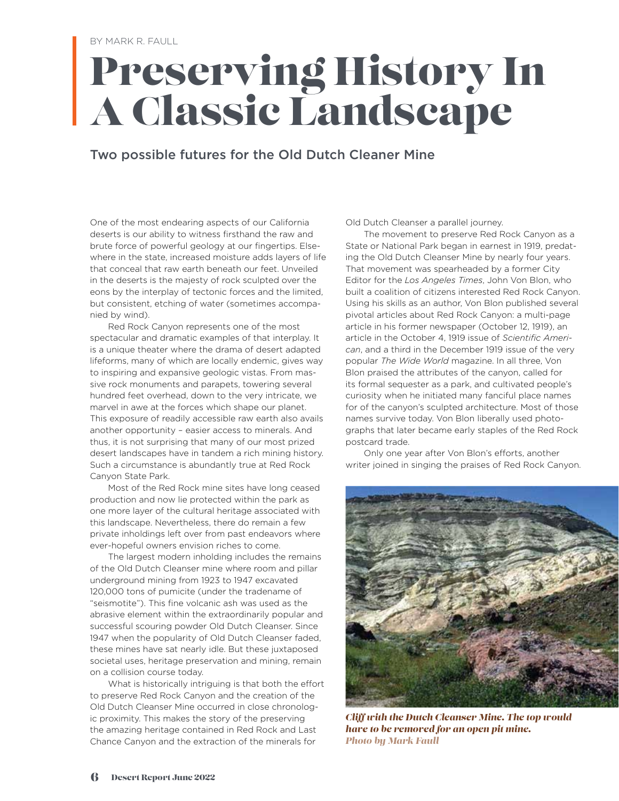## Preserving History In A Classic Landscape

#### Two possible futures for the Old Dutch Cleaner Mine

One of the most endearing aspects of our California deserts is our ability to witness firsthand the raw and brute force of powerful geology at our fingertips. Elsewhere in the state, increased moisture adds layers of life that conceal that raw earth beneath our feet. Unveiled in the deserts is the majesty of rock sculpted over the eons by the interplay of tectonic forces and the limited, but consistent, etching of water (sometimes accompanied by wind).

Red Rock Canyon represents one of the most spectacular and dramatic examples of that interplay. It is a unique theater where the drama of desert adapted lifeforms, many of which are locally endemic, gives way to inspiring and expansive geologic vistas. From massive rock monuments and parapets, towering several hundred feet overhead, down to the very intricate, we marvel in awe at the forces which shape our planet. This exposure of readily accessible raw earth also avails another opportunity – easier access to minerals. And thus, it is not surprising that many of our most prized desert landscapes have in tandem a rich mining history. Such a circumstance is abundantly true at Red Rock Canyon State Park.

Most of the Red Rock mine sites have long ceased production and now lie protected within the park as one more layer of the cultural heritage associated with this landscape. Nevertheless, there do remain a few private inholdings left over from past endeavors where ever-hopeful owners envision riches to come.

The largest modern inholding includes the remains of the Old Dutch Cleanser mine where room and pillar underground mining from 1923 to 1947 excavated 120,000 tons of pumicite (under the tradename of "seismotite"). This fine volcanic ash was used as the abrasive element within the extraordinarily popular and successful scouring powder Old Dutch Cleanser. Since 1947 when the popularity of Old Dutch Cleanser faded, these mines have sat nearly idle. But these juxtaposed societal uses, heritage preservation and mining, remain on a collision course today.

What is historically intriguing is that both the effort to preserve Red Rock Canyon and the creation of the Old Dutch Cleanser Mine occurred in close chronologic proximity. This makes the story of the preserving the amazing heritage contained in Red Rock and Last Chance Canyon and the extraction of the minerals for

Old Dutch Cleanser a parallel journey.

The movement to preserve Red Rock Canyon as a State or National Park began in earnest in 1919, predating the Old Dutch Cleanser Mine by nearly four years. That movement was spearheaded by a former City Editor for the *Los Angeles Times*, John Von Blon, who built a coalition of citizens interested Red Rock Canyon. Using his skills as an author, Von Blon published several pivotal articles about Red Rock Canyon: a multi-page article in his former newspaper (October 12, 1919), an article in the October 4, 1919 issue of *Scientific American*, and a third in the December 1919 issue of the very popular *The Wide World* magazine. In all three, Von Blon praised the attributes of the canyon, called for its formal sequester as a park, and cultivated people's curiosity when he initiated many fanciful place names for of the canyon's sculpted architecture. Most of those names survive today. Von Blon liberally used photographs that later became early staples of the Red Rock postcard trade.

Only one year after Von Blon's efforts, another writer joined in singing the praises of Red Rock Canyon.



*Cliff with the Dutch Cleanser Mine. The top would have to be removed for an open pit mine. Photo by Mark Faull*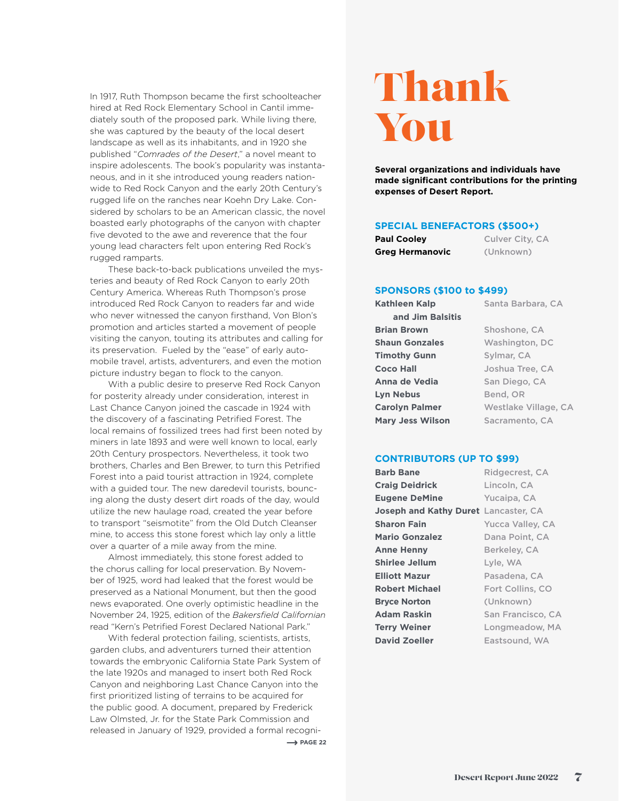In 1917, Ruth Thompson became the first schoolteacher hired at Red Rock Elementary School in Cantil immediately south of the proposed park. While living there, she was captured by the beauty of the local desert landscape as well as its inhabitants, and in 1920 she published "*Comrades of the Desert*," a novel meant to inspire adolescents. The book's popularity was instantaneous, and in it she introduced young readers nationwide to Red Rock Canyon and the early 20th Century's rugged life on the ranches near Koehn Dry Lake. Considered by scholars to be an American classic, the novel boasted early photographs of the canyon with chapter five devoted to the awe and reverence that the four young lead characters felt upon entering Red Rock's rugged ramparts.

These back-to-back publications unveiled the mysteries and beauty of Red Rock Canyon to early 20th Century America. Whereas Ruth Thompson's prose introduced Red Rock Canyon to readers far and wide who never witnessed the canyon firsthand, Von Blon's promotion and articles started a movement of people visiting the canyon, touting its attributes and calling for its preservation. Fueled by the "ease" of early automobile travel, artists, adventurers, and even the motion picture industry began to flock to the canyon.

With a public desire to preserve Red Rock Canyon for posterity already under consideration, interest in Last Chance Canyon joined the cascade in 1924 with the discovery of a fascinating Petrified Forest. The local remains of fossilized trees had first been noted by miners in late 1893 and were well known to local, early 20th Century prospectors. Nevertheless, it took two brothers, Charles and Ben Brewer, to turn this Petrified Forest into a paid tourist attraction in 1924, complete with a guided tour. The new daredevil tourists, bouncing along the dusty desert dirt roads of the day, would utilize the new haulage road, created the year before to transport "seismotite" from the Old Dutch Cleanser mine, to access this stone forest which lay only a little over a quarter of a mile away from the mine.

Almost immediately, this stone forest added to the chorus calling for local preservation. By November of 1925, word had leaked that the forest would be preserved as a National Monument, but then the good news evaporated. One overly optimistic headline in the November 24, 1925, edition of the *Bakersfield Californian* read "Kern's Petrified Forest Declared National Park."

With federal protection failing, scientists, artists, garden clubs, and adventurers turned their attention towards the embryonic California State Park System of the late 1920s and managed to insert both Red Rock Canyon and neighboring Last Chance Canyon into the first prioritized listing of terrains to be acquired for the public good. A document, prepared by Frederick Law Olmsted, Jr. for the State Park Commission and released in January of 1929, provided a formal recogni- $\rightarrow$  PAGE 22

## Thank You

**Several organizations and individuals have made significant contributions for the printing expenses of Desert Report.**

#### **SPECIAL BENEFACTORS (\$500+)**

| <b>Paul Cooley</b> | Culver City, CA |
|--------------------|-----------------|
| Greg Hermanovic    | (Unknown)       |

#### **SPONSORS (\$100 to \$499)**

**Kathleen Kalp** Santa Barbara, CA **and Jim Balsitis Brian Brown** Shoshone, CA **Shaun Gonzales** Washington, DC **Timothy Gunn** Sylmar, CA **Coco Hall** Joshua Tree, CA **Anna de Vedia** San Diego, CA Lyn Nebus
Bend, OR **Carolyn Palmer** Westlake Village, CA **Mary Jess Wilson** Sacramento, CA

#### **CONTRIBUTORS (UP TO \$99)**

**Barb Bane** Ridgecrest, CA **Craig Deidrick** Lincoln, CA **Eugene DeMine** Yucaipa, CA **Joseph and Kathy Duret** Lancaster, CA **Sharon Fain** Yucca Valley, CA **Mario Gonzalez** Dana Point, CA **Anne Henny** Berkeley, CA **Shirlee Jellum** Lyle, WA **Elliott Mazur** Pasadena, CA **Robert Michael** Fort Collins, CO **Bryce Norton** (Unknown) **Adam Raskin** San Francisco, CA **Terry Weiner** Longmeadow, MA **David Zoeller** Eastsound, WA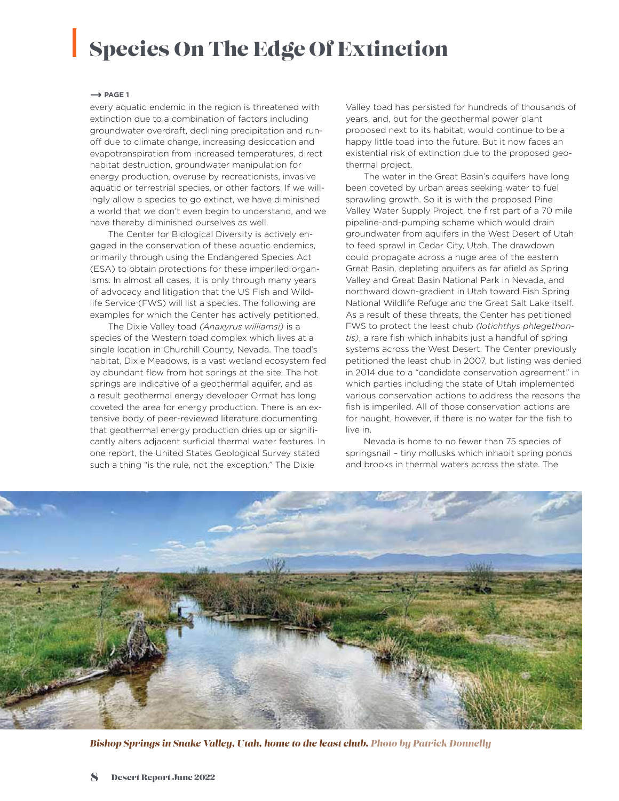### Species On The Edge Of Extinction

#### $\rightarrow$  PAGE 1

every aquatic endemic in the region is threatened with extinction due to a combination of factors including groundwater overdraft, declining precipitation and runoff due to climate change, increasing desiccation and evapotranspiration from increased temperatures, direct habitat destruction, groundwater manipulation for energy production, overuse by recreationists, invasive aquatic or terrestrial species, or other factors. If we willingly allow a species to go extinct, we have diminished a world that we don't even begin to understand, and we have thereby diminished ourselves as well.

The Center for Biological Diversity is actively engaged in the conservation of these aquatic endemics, primarily through using the Endangered Species Act (ESA) to obtain protections for these imperiled organisms. In almost all cases, it is only through many years of advocacy and litigation that the US Fish and Wildlife Service (FWS) will list a species. The following are examples for which the Center has actively petitioned.

The Dixie Valley toad *(Anaxyrus williamsi)* is a species of the Western toad complex which lives at a single location in Churchill County, Nevada. The toad's habitat, Dixie Meadows, is a vast wetland ecosystem fed by abundant flow from hot springs at the site. The hot springs are indicative of a geothermal aquifer, and as a result geothermal energy developer Ormat has long coveted the area for energy production. There is an extensive body of peer-reviewed literature documenting that geothermal energy production dries up or significantly alters adjacent surficial thermal water features. In one report, the United States Geological Survey stated such a thing "is the rule, not the exception." The Dixie

Valley toad has persisted for hundreds of thousands of years, and, but for the geothermal power plant proposed next to its habitat, would continue to be a happy little toad into the future. But it now faces an existential risk of extinction due to the proposed geothermal project.

The water in the Great Basin's aquifers have long been coveted by urban areas seeking water to fuel sprawling growth. So it is with the proposed Pine Valley Water Supply Project, the first part of a 70 mile pipeline-and-pumping scheme which would drain groundwater from aquifers in the West Desert of Utah to feed sprawl in Cedar City, Utah. The drawdown could propagate across a huge area of the eastern Great Basin, depleting aquifers as far afield as Spring Valley and Great Basin National Park in Nevada, and northward down-gradient in Utah toward Fish Spring National Wildlife Refuge and the Great Salt Lake itself. As a result of these threats, the Center has petitioned FWS to protect the least chub *(Iotichthys phlegethontis)*, a rare fish which inhabits just a handful of spring systems across the West Desert. The Center previously petitioned the least chub in 2007, but listing was denied in 2014 due to a "candidate conservation agreement" in which parties including the state of Utah implemented various conservation actions to address the reasons the fish is imperiled. All of those conservation actions are for naught, however, if there is no water for the fish to live in.

Nevada is home to no fewer than 75 species of springsnail – tiny mollusks which inhabit spring ponds and brooks in thermal waters across the state. The



*Bishop Springs in Snake Valley, Utah, home to the least chub. Photo by Patrick Donnelly*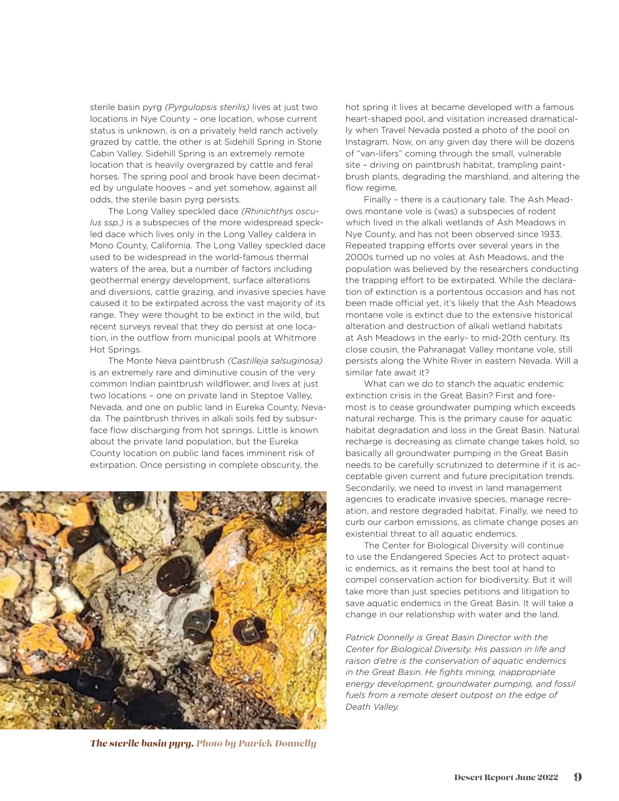sterile basin pyrg *(Pyrgulopsis sterilis)* lives at just two locations in Nye County – one location, whose current status is unknown, is on a privately held ranch actively grazed by cattle, the other is at Sidehill Spring in Stone Cabin Valley. Sidehill Spring is an extremely remote location that is heavily overgrazed by cattle and feral horses. The spring pool and brook have been decimated by ungulate hooves – and yet somehow, against all odds, the sterile basin pyrg persists.

The Long Valley speckled dace *(Rhinichthys osculus ssp.)* is a subspecies of the more widespread speckled dace which lives only in the Long Valley caldera in Mono County, California. The Long Valley speckled dace used to be widespread in the world-famous thermal waters of the area, but a number of factors including geothermal energy development, surface alterations and diversions, cattle grazing, and invasive species have caused it to be extirpated across the vast majority of its range. They were thought to be extinct in the wild, but recent surveys reveal that they do persist at one location, in the outflow from municipal pools at Whitmore Hot Springs.

The Monte Neva paintbrush *(Castilleja salsuginosa)* is an extremely rare and diminutive cousin of the very common Indian paintbrush wildflower, and lives at just two locations – one on private land in Steptoe Valley, Nevada, and one on public land in Eureka County, Nevada. The paintbrush thrives in alkali soils fed by subsurface flow discharging from hot springs. Little is known about the private land population, but the Eureka County location on public land faces imminent risk of extirpation. Once persisting in complete obscurity, the



*The sterile basin pyrg. Photo by Patrick Donnelly*

hot spring it lives at became developed with a famous heart-shaped pool, and visitation increased dramatically when Travel Nevada posted a photo of the pool on Instagram. Now, on any given day there will be dozens of "van-lifers" coming through the small, vulnerable site – driving on paintbrush habitat, trampling paintbrush plants, degrading the marshland, and altering the flow regime.

Finally – there is a cautionary tale. The Ash Meadows montane vole is (was) a subspecies of rodent which lived in the alkali wetlands of Ash Meadows in Nye County, and has not been observed since 1933. Repeated trapping efforts over several years in the 2000s turned up no voles at Ash Meadows, and the population was believed by the researchers conducting the trapping effort to be extirpated. While the declaration of extinction is a portentous occasion and has not been made official yet, it's likely that the Ash Meadows montane vole is extinct due to the extensive historical alteration and destruction of alkali wetland habitats at Ash Meadows in the early- to mid-20th century. Its close cousin, the Pahranagat Valley montane vole, still persists along the White River in eastern Nevada. Will a similar fate await it?

What can we do to stanch the aquatic endemic extinction crisis in the Great Basin? First and foremost is to cease groundwater pumping which exceeds natural recharge. This is the primary cause for aquatic habitat degradation and loss in the Great Basin. Natural recharge is decreasing as climate change takes hold, so basically all groundwater pumping in the Great Basin needs to be carefully scrutinized to determine if it is acceptable given current and future precipitation trends. Secondarily, we need to invest in land management agencies to eradicate invasive species, manage recreation, and restore degraded habitat. Finally, we need to curb our carbon emissions, as climate change poses an existential threat to all aquatic endemics.

The Center for Biological Diversity will continue to use the Endangered Species Act to protect aquatic endemics, as it remains the best tool at hand to compel conservation action for biodiversity. But it will take more than just species petitions and litigation to save aquatic endemics in the Great Basin. It will take a change in our relationship with water and the land.

*Patrick Donnelly is Great Basin Director with the Center for Biological Diversity. His passion in life and raison d'etre is the conservation of aquatic endemics in the Great Basin. He fights mining, inappropriate energy development, groundwater pumping, and fossil fuels from a remote desert outpost on the edge of Death Valley.*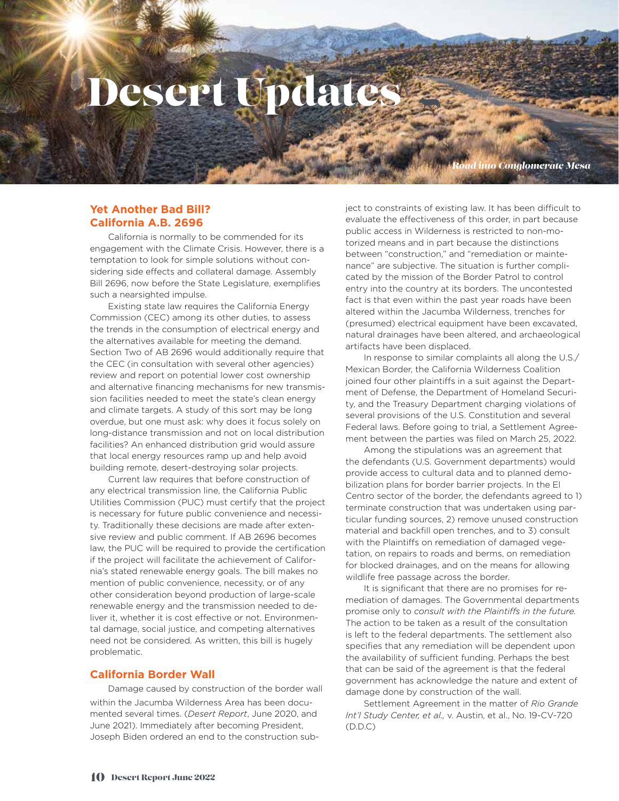## Desert Updates

*Road into Conglomerate Mesa* 

#### **Yet Another Bad Bill? California A.B. 2696**

California is normally to be commended for its engagement with the Climate Crisis. However, there is a temptation to look for simple solutions without considering side effects and collateral damage. Assembly Bill 2696, now before the State Legislature, exemplifies such a nearsighted impulse.

Existing state law requires the California Energy Commission (CEC) among its other duties, to assess the trends in the consumption of electrical energy and the alternatives available for meeting the demand. Section Two of AB 2696 would additionally require that the CEC (in consultation with several other agencies) review and report on potential lower cost ownership and alternative financing mechanisms for new transmission facilities needed to meet the state's clean energy and climate targets. A study of this sort may be long overdue, but one must ask: why does it focus solely on long-distance transmission and not on local distribution facilities? An enhanced distribution grid would assure that local energy resources ramp up and help avoid building remote, desert-destroying solar projects.

Current law requires that before construction of any electrical transmission line, the California Public Utilities Commission (PUC) must certify that the project is necessary for future public convenience and necessity. Traditionally these decisions are made after extensive review and public comment. If AB 2696 becomes law, the PUC will be required to provide the certification if the project will facilitate the achievement of California's stated renewable energy goals. The bill makes no mention of public convenience, necessity, or of any other consideration beyond production of large-scale renewable energy and the transmission needed to deliver it, whether it is cost effective or not. Environmental damage, social justice, and competing alternatives need not be considered. As written, this bill is hugely problematic.

#### **California Border Wall**

Damage caused by construction of the border wall within the Jacumba Wilderness Area has been documented several times. (*Desert Report*, June 2020, and June 2021). Immediately after becoming President, Joseph Biden ordered an end to the construction subject to constraints of existing law. It has been difficult to evaluate the effectiveness of this order, in part because public access in Wilderness is restricted to non-motorized means and in part because the distinctions between "construction," and "remediation or maintenance" are subjective. The situation is further complicated by the mission of the Border Patrol to control entry into the country at its borders. The uncontested fact is that even within the past year roads have been altered within the Jacumba Wilderness, trenches for (presumed) electrical equipment have been excavated, natural drainages have been altered, and archaeological artifacts have been displaced.

In response to similar complaints all along the U.S./ Mexican Border, the California Wilderness Coalition joined four other plaintiffs in a suit against the Department of Defense, the Department of Homeland Security, and the Treasury Department charging violations of several provisions of the U.S. Constitution and several Federal laws. Before going to trial, a Settlement Agreement between the parties was filed on March 25, 2022.

Among the stipulations was an agreement that the defendants (U.S. Government departments) would provide access to cultural data and to planned demobilization plans for border barrier projects. In the El Centro sector of the border, the defendants agreed to 1) terminate construction that was undertaken using particular funding sources, 2) remove unused construction material and backfill open trenches, and to 3) consult with the Plaintiffs on remediation of damaged vegetation, on repairs to roads and berms, on remediation for blocked drainages, and on the means for allowing wildlife free passage across the border.

It is significant that there are no promises for remediation of damages. The Governmental departments promise only to *consult with the Plaintiffs in the future.*  The action to be taken as a result of the consultation is left to the federal departments. The settlement also specifies that any remediation will be dependent upon the availability of sufficient funding. Perhaps the best that can be said of the agreement is that the federal government has acknowledge the nature and extent of damage done by construction of the wall.

Settlement Agreement in the matter of *Rio Grande Int'l Study Center, et al.,* v. Austin, et al., No. 19-CV-720 (D.D.C)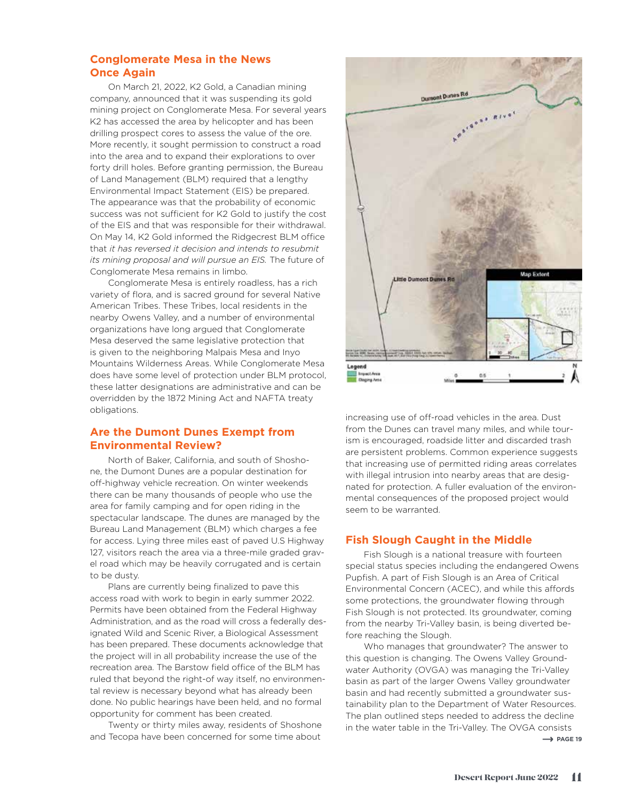#### **Conglomerate Mesa in the News Once Again**

On March 21, 2022, K2 Gold, a Canadian mining company, announced that it was suspending its gold mining project on Conglomerate Mesa. For several years K2 has accessed the area by helicopter and has been drilling prospect cores to assess the value of the ore. More recently, it sought permission to construct a road into the area and to expand their explorations to over forty drill holes. Before granting permission, the Bureau of Land Management (BLM) required that a lengthy Environmental Impact Statement (EIS) be prepared. The appearance was that the probability of economic success was not sufficient for K2 Gold to justify the cost of the EIS and that was responsible for their withdrawal. On May 14, K2 Gold informed the Ridgecrest BLM office that *it has reversed it decision and intends to resubmit its mining proposal and will pursue an EIS.* The future of Conglomerate Mesa remains in limbo.

Conglomerate Mesa is entirely roadless, has a rich variety of flora, and is sacred ground for several Native American Tribes. These Tribes, local residents in the nearby Owens Valley, and a number of environmental organizations have long argued that Conglomerate Mesa deserved the same legislative protection that is given to the neighboring Malpais Mesa and Inyo Mountains Wilderness Areas. While Conglomerate Mesa does have some level of protection under BLM protocol, these latter designations are administrative and can be overridden by the 1872 Mining Act and NAFTA treaty obligations.

#### **Are the Dumont Dunes Exempt from Environmental Review?**

North of Baker, California, and south of Shoshone, the Dumont Dunes are a popular destination for off-highway vehicle recreation. On winter weekends there can be many thousands of people who use the area for family camping and for open riding in the spectacular landscape. The dunes are managed by the Bureau Land Management (BLM) which charges a fee for access. Lying three miles east of paved U.S Highway 127, visitors reach the area via a three-mile graded gravel road which may be heavily corrugated and is certain to be dusty.

Plans are currently being finalized to pave this access road with work to begin in early summer 2022. Permits have been obtained from the Federal Highway Administration, and as the road will cross a federally designated Wild and Scenic River, a Biological Assessment has been prepared. These documents acknowledge that the project will in all probability increase the use of the recreation area. The Barstow field office of the BLM has ruled that beyond the right-of way itself, no environmental review is necessary beyond what has already been done. No public hearings have been held, and no formal opportunity for comment has been created.

Twenty or thirty miles away, residents of Shoshone and Tecopa have been concerned for some time about



increasing use of off-road vehicles in the area. Dust from the Dunes can travel many miles, and while tourism is encouraged, roadside litter and discarded trash are persistent problems. Common experience suggests that increasing use of permitted riding areas correlates with illegal intrusion into nearby areas that are designated for protection. A fuller evaluation of the environmental consequences of the proposed project would seem to be warranted.

#### **Fish Slough Caught in the Middle**

Fish Slough is a national treasure with fourteen special status species including the endangered Owens Pupfish. A part of Fish Slough is an Area of Critical Environmental Concern (ACEC), and while this affords some protections, the groundwater flowing through Fish Slough is not protected. Its groundwater, coming from the nearby Tri-Valley basin, is being diverted before reaching the Slough.

Who manages that groundwater? The answer to this question is changing. The Owens Valley Groundwater Authority (OVGA) was managing the Tri-Valley basin as part of the larger Owens Valley groundwater basin and had recently submitted a groundwater sustainability plan to the Department of Water Resources. The plan outlined steps needed to address the decline in the water table in the Tri-Valley. The OVGA consists  $\rightarrow$  PAGE 19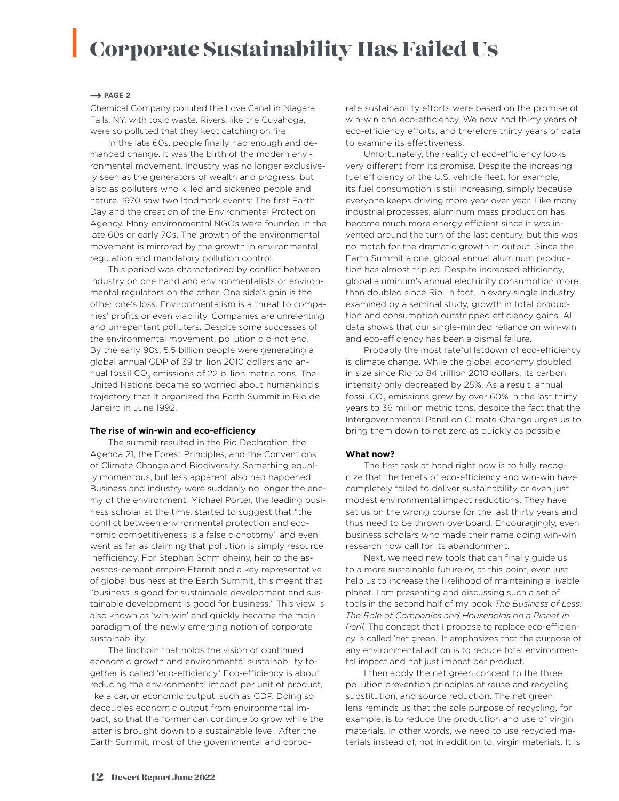### Corporate Sustainability Has Failed Us

#### $\rightarrow$  PAGE 2

Chemical Company polluted the Love Canal in Niagara Falls, NY, with toxic waste. Rivers, like the Cuyahoga, were so polluted that they kept catching on fire.

In the late 60s, people finally had enough and demanded change. It was the birth of the modern environmental movement. Industry was no longer exclusively seen as the generators of wealth and progress, but also as polluters who killed and sickened people and nature. 1970 saw two landmark events: The first Earth Day and the creation of the Environmental Protection Agency. Many environmental NGOs were founded in the late 60s or early 70s. The growth of the environmental movement is mirrored by the growth in environmental regulation and mandatory pollution control.

This period was characterized by conflict between industry on one hand and environmentalists or environmental regulators on the other. One side's gain is the other one's loss. Environmentalism is a threat to companies' profits or even viability. Companies are unrelenting and unrepentant polluters. Despite some successes of the environmental movement, pollution did not end. By the early 90s, 5.5 billion people were generating a global annual GDP of 39 trillion 2010 dollars and annual fossil CO<sub>2</sub> emissions of 22 billion metric tons. The United Nations became so worried about humankind's trajectory that it organized the Earth Summit in Rio de Janeiro in June 1992.

#### **The rise of win-win and eco-efficiency**

The summit resulted in the Rio Declaration, the Agenda 21, the Forest Principles, and the Conventions of Climate Change and Biodiversity. Something equally momentous, but less apparent also had happened. Business and industry were suddenly no longer the enemy of the environment. Michael Porter, the leading business scholar at the time, started to suggest that "the conflict between environmental protection and economic competitiveness is a false dichotomy" and even went as far as claiming that pollution is simply resource inefficiency. For Stephan Schmidheiny, heir to the asbestos-cement empire Eternit and a key representative of global business at the Earth Summit, this meant that "business is good for sustainable development and sustainable development is good for business." This view is also known as 'win-win' and quickly became the main paradigm of the newly emerging notion of corporate sustainability.

The linchpin that holds the vision of continued economic growth and environmental sustainability together is called 'eco-efficiency.' Eco-efficiency is about reducing the environmental impact per unit of product, like a car, or economic output, such as GDP. Doing so decouples economic output from environmental impact, so that the former can continue to grow while the latter is brought down to a sustainable level. After the Earth Summit, most of the governmental and corporate sustainability efforts were based on the promise of win-win and eco-efficiency. We now had thirty years of eco-efficiency efforts, and therefore thirty years of data to examine its effectiveness.

Unfortunately, the reality of eco-efficiency looks very different from its promise. Despite the increasing fuel efficiency of the U.S. vehicle fleet, for example, its fuel consumption is still increasing, simply because everyone keeps driving more year over year. Like many industrial processes, aluminum mass production has become much more energy efficient since it was invented around the turn of the last century, but this was no match for the dramatic growth in output. Since the Earth Summit alone, global annual aluminum production has almost tripled. Despite increased efficiency, global aluminum's annual electricity consumption more than doubled since Rio. In fact, in every single industry examined by a seminal study, growth in total production and consumption outstripped efficiency gains. All data shows that our single-minded reliance on win-win and eco-efficiency has been a dismal failure.

Probably the most fateful letdown of eco-efficiency is climate change. While the global economy doubled in size since Rio to 84 trillion 2010 dollars, its carbon intensity only decreased by 25%. As a result, annual fossil CO<sub>2</sub> emissions grew by over 60% in the last thirty years to 36 million metric tons, despite the fact that the Intergovernmental Panel on Climate Change urges us to bring them down to net zero as quickly as possible

#### **What now?**

The first task at hand right now is to fully recognize that the tenets of eco-efficiency and win-win have completely failed to deliver sustainability or even just modest environmental impact reductions. They have set us on the wrong course for the last thirty years and thus need to be thrown overboard. Encouragingly, even business scholars who made their name doing win-win research now call for its abandonment.

Next, we need new tools that can finally guide us to a more sustainable future or, at this point, even just help us to increase the likelihood of maintaining a livable planet. I am presenting and discussing such a set of tools in the second half of my book *The Business of Less: The Role of Companies and Households on a Planet in Peril.* The concept that I propose to replace eco-efficiency is called 'net green.' It emphasizes that the purpose of any environmental action is to reduce total environmental impact and not just impact per product.

I then apply the net green concept to the three pollution prevention principles of reuse and recycling, substitution, and source reduction. The net green lens reminds us that the sole purpose of recycling, for example, is to reduce the production and use of virgin materials. In other words, we need to use recycled materials instead of, not in addition to, virgin materials. It is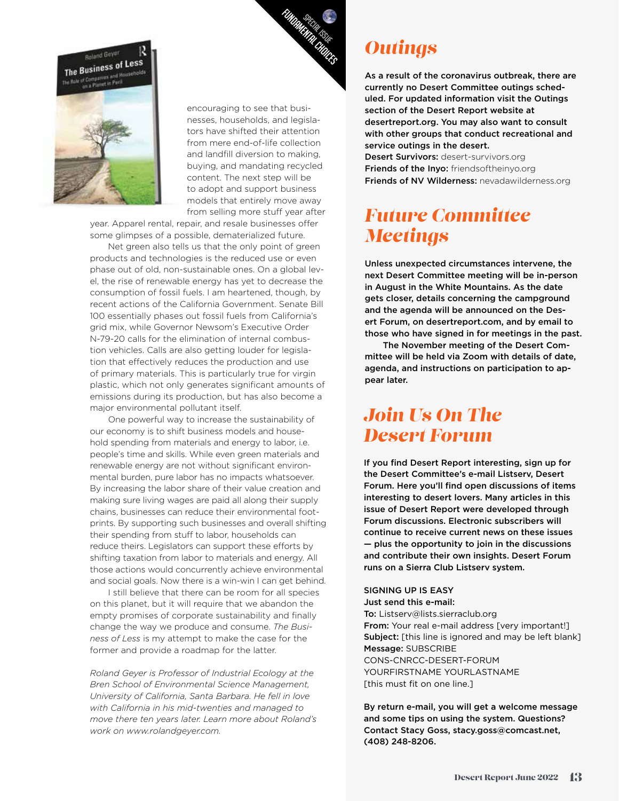

encouraging to see that businesses, households, and legislators have shifted their attention from mere end-of-life collection and landfill diversion to making, buying, and mandating recycled content. The next step will be to adopt and support business models that entirely move away from selling more stuff year after

year. Apparel rental, repair, and resale businesses offer some glimpses of a possible, dematerialized future.

**Boland Geyat The Business of Less** 

> Net green also tells us that the only point of green products and technologies is the reduced use or even phase out of old, non-sustainable ones. On a global level, the rise of renewable energy has yet to decrease the consumption of fossil fuels. I am heartened, though, by recent actions of the California Government. Senate Bill 100 essentially phases out fossil fuels from California's grid mix, while Governor Newsom's Executive Order N-79-20 calls for the elimination of internal combustion vehicles. Calls are also getting louder for legislation that effectively reduces the production and use of primary materials. This is particularly true for virgin plastic, which not only generates significant amounts of emissions during its production, but has also become a major environmental pollutant itself.

> One powerful way to increase the sustainability of our economy is to shift business models and household spending from materials and energy to labor, i.e. people's time and skills. While even green materials and renewable energy are not without significant environmental burden, pure labor has no impacts whatsoever. By increasing the labor share of their value creation and making sure living wages are paid all along their supply chains, businesses can reduce their environmental footprints. By supporting such businesses and overall shifting their spending from stuff to labor, households can reduce theirs. Legislators can support these efforts by shifting taxation from labor to materials and energy. All those actions would concurrently achieve environmental and social goals. Now there is a win-win I can get behind.

I still believe that there can be room for all species on this planet, but it will require that we abandon the empty promises of corporate sustainability and finally change the way we produce and consume. *The Business of Less* is my attempt to make the case for the former and provide a roadmap for the latter.

*Roland Geyer is Professor of Industrial Ecology at the Bren School of Environmental Science Management, University of California, Santa Barbara. He fell in love with California in his mid-twenties and managed to move there ten years later. Learn more about Roland's work on www.rolandgeyer.com.*

### *Outings*

As a result of the coronavirus outbreak, there are currently no Desert Committee outings scheduled. For updated information visit the Outings section of the Desert Report website at desertreport.org. You may also want to consult with other groups that conduct recreational and service outings in the desert.

Desert Survivors: desert-survivors.org Friends of the Inyo: friendsoftheinyo.org Friends of NV Wilderness: nevadawilderness.org

### *Future Committee Meetings*

Unless unexpected circumstances intervene, the next Desert Committee meeting will be in-person in August in the White Mountains. As the date gets closer, details concerning the campground and the agenda will be announced on the Desert Forum, on desertreport.com, and by email to those who have signed in for meetings in the past.

The November meeting of the Desert Committee will be held via Zoom with details of date, agenda, and instructions on participation to appear later.

### *Join Us On The Desert Forum*

If you find Desert Report interesting, sign up for the Desert Committee's e-mail Listserv, Desert Forum. Here you'll find open discussions of items interesting to desert lovers. Many articles in this issue of Desert Report were developed through Forum discussions. Electronic subscribers will continue to receive current news on these issues — plus the opportunity to join in the discussions and contribute their own insights. Desert Forum runs on a Sierra Club Listserv system.

#### SIGNING UP IS EASY Just send this e-mail:

To: Listserv@lists.sierraclub.org From: Your real e-mail address [very important!] **Subject:** [this line is ignored and may be left blank] Message: SUBSCRIBE CONS-CNRCC-DESERT-FORUM YOURFIRSTNAME YOURLASTNAME [this must fit on one line.]

By return e-mail, you will get a welcome message and some tips on using the system. Questions? Contact Stacy Goss, stacy.goss@comcast.net, (408) 248-8206.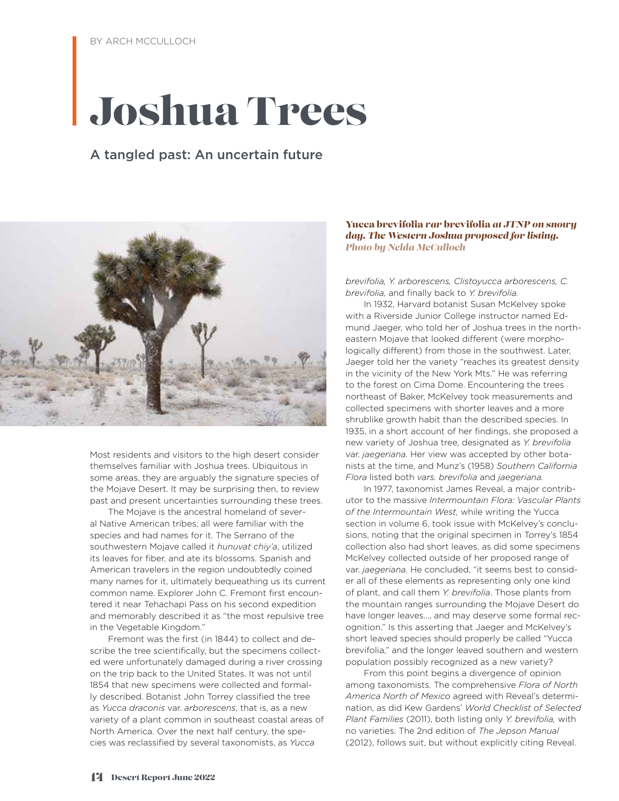## Joshua Trees

#### A tangled past: An uncertain future



Most residents and visitors to the high desert consider themselves familiar with Joshua trees. Ubiquitous in some areas, they are arguably the signature species of the Mojave Desert. It may be surprising then, to review past and present uncertainties surrounding these trees.

The Mojave is the ancestral homeland of several Native American tribes; all were familiar with the species and had names for it. The Serrano of the southwestern Mojave called it *hunuvat chiy'a*, utilized its leaves for fiber, and ate its blossoms. Spanish and American travelers in the region undoubtedly coined many names for it, ultimately bequeathing us its current common name. Explorer John C. Fremont first encountered it near Tehachapi Pass on his second expedition and memorably described it as "the most repulsive tree in the Vegetable Kingdom."

Fremont was the first (in 1844) to collect and describe the tree scientifically, but the specimens collected were unfortunately damaged during a river crossing on the trip back to the United States. It was not until 1854 that new specimens were collected and formally described. Botanist John Torrey classified the tree as *Yucca draconis* var. *arborescens*, that is, as a new variety of a plant common in southeast coastal areas of North America. Over the next half century, the species was reclassified by several taxonomists, as *Yucca* 

#### Yucca brevifolia *var* brevifolia *at JTNP on snowy day. The Western Joshua proposed for listing. Photo by Nelda McCulloch*

*brevifolia, Y. arborescens, Clistoyucca arborescens, C. brevifolia,* and finally back to *Y. brevifolia.* 

In 1932, Harvard botanist Susan McKelvey spoke with a Riverside Junior College instructor named Edmund Jaeger, who told her of Joshua trees in the northeastern Mojave that looked different (were morphologically different) from those in the southwest. Later, Jaeger told her the variety "reaches its greatest density in the vicinity of the New York Mts." He was referring to the forest on Cima Dome. Encountering the trees northeast of Baker, McKelvey took measurements and collected specimens with shorter leaves and a more shrublike growth habit than the described species. In 1935, in a short account of her findings, she proposed a new variety of Joshua tree, designated as *Y. brevifolia*  var. *jaegeriana.* Her view was accepted by other botanists at the time, and Munz's (1958) *Southern California Flora* listed both *vars. brevifolia* and *jaegeriana.*

In 1977, taxonomist James Reveal, a major contributor to the massive *Intermountain Flora: Vascular Plants of the Intermountain West,* while writing the Yucca section in volume 6, took issue with McKelvey's conclusions, noting that the original specimen in Torrey's 1854 collection also had short leaves, as did some specimens McKelvey collected outside of her proposed range of var. *jaegeriana.* He concluded, "it seems best to consider all of these elements as representing only one kind of plant, and call them *Y. brevifolia*. Those plants from the mountain ranges surrounding the Mojave Desert do have longer leaves..., and may deserve some formal recognition." Is this asserting that Jaeger and McKelvey's short leaved species should properly be called "Yucca brevifolia," and the longer leaved southern and western population possibly recognized as a new variety?

From this point begins a divergence of opinion among taxonomists. The comprehensive *Flora of North America North of Mexico* agreed with Reveal's determination, as did Kew Gardens' *World Checklist of Selected Plant Families* (2011), both listing only *Y. brevifolia,* with no varieties. The 2nd edition of *The Jepson Manual*  (2012), follows suit, but without explicitly citing Reveal.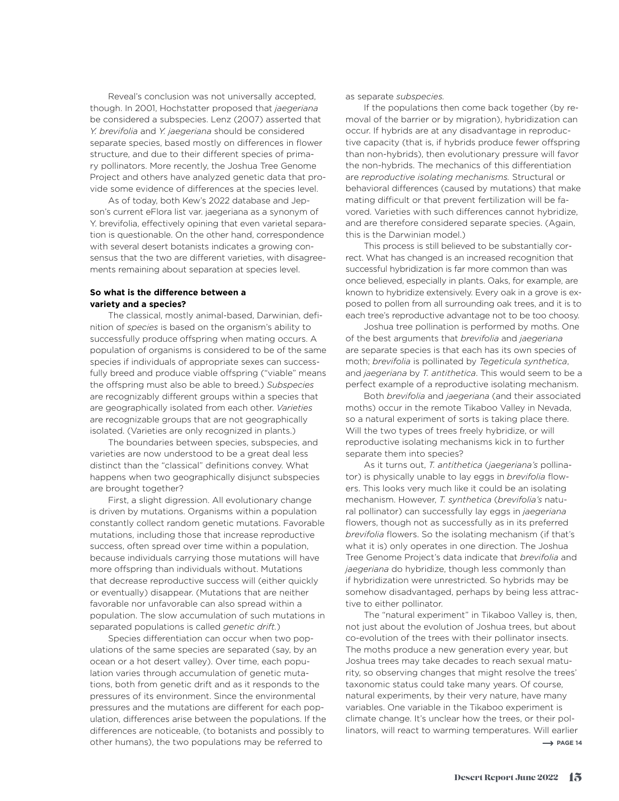Reveal's conclusion was not universally accepted, though. In 2001, Hochstatter proposed that *jaegeriana* be considered a subspecies. Lenz (2007) asserted that *Y. brevifolia* and *Y. jaegeriana* should be considered separate species, based mostly on differences in flower structure, and due to their different species of primary pollinators. More recently, the Joshua Tree Genome Project and others have analyzed genetic data that provide some evidence of differences at the species level.

As of today, both Kew's 2022 database and Jepson's current eFlora list var. jaegeriana as a synonym of Y. brevifolia, effectively opining that even varietal separation is questionable. On the other hand, correspondence with several desert botanists indicates a growing consensus that the two are different varieties, with disagreements remaining about separation at species level.

#### **So what is the difference between a variety and a species?**

The classical, mostly animal-based, Darwinian, definition of *species* is based on the organism's ability to successfully produce offspring when mating occurs. A population of organisms is considered to be of the same species if individuals of appropriate sexes can successfully breed and produce viable offspring ("viable" means the offspring must also be able to breed.) *Subspecies* are recognizably different groups within a species that are geographically isolated from each other. *Varieties* are recognizable groups that are not geographically isolated. (Varieties are only recognized in plants.)

The boundaries between species, subspecies, and varieties are now understood to be a great deal less distinct than the "classical" definitions convey. What happens when two geographically disjunct subspecies are brought together?

First, a slight digression. All evolutionary change is driven by mutations. Organisms within a population constantly collect random genetic mutations. Favorable mutations, including those that increase reproductive success, often spread over time within a population, because individuals carrying those mutations will have more offspring than individuals without. Mutations that decrease reproductive success will (either quickly or eventually) disappear. (Mutations that are neither favorable nor unfavorable can also spread within a population. The slow accumulation of such mutations in separated populations is called *genetic drift.*)

Species differentiation can occur when two populations of the same species are separated (say, by an ocean or a hot desert valley). Over time, each population varies through accumulation of genetic mutations, both from genetic drift and as it responds to the pressures of its environment. Since the environmental pressures and the mutations are different for each population, differences arise between the populations. If the differences are noticeable, (to botanists and possibly to other humans), the two populations may be referred to

as separate *subspecies.*

If the populations then come back together (by removal of the barrier or by migration), hybridization can occur. If hybrids are at any disadvantage in reproductive capacity (that is, if hybrids produce fewer offspring than non-hybrids), then evolutionary pressure will favor the non-hybrids. The mechanics of this differentiation are *reproductive isolating mechanisms.* Structural or behavioral differences (caused by mutations) that make mating difficult or that prevent fertilization will be favored. Varieties with such differences cannot hybridize, and are therefore considered separate species. (Again, this is the Darwinian model.)

This process is still believed to be substantially correct. What has changed is an increased recognition that successful hybridization is far more common than was once believed, especially in plants. Oaks, for example, are known to hybridize extensively. Every oak in a grove is exposed to pollen from all surrounding oak trees, and it is to each tree's reproductive advantage not to be too choosy.

Joshua tree pollination is performed by moths. One of the best arguments that *brevifolia* and *jaegeriana*  are separate species is that each has its own species of moth; *brevifolia* is pollinated by *Tegeticula synthetica*, and *jaegeriana* by *T. antithetica*. This would seem to be a perfect example of a reproductive isolating mechanism.

Both *brevifolia* and *jaegeriana* (and their associated moths) occur in the remote Tikaboo Valley in Nevada, so a natural experiment of sorts is taking place there. Will the two types of trees freely hybridize, or will reproductive isolating mechanisms kick in to further separate them into species?

As it turns out, *T. antithetica* (*jaegeriana's* pollinator) is physically unable to lay eggs in *brevifolia* flowers. This looks very much like it could be an isolating mechanism. However, *T. synthetica* (*brevifolia's* natural pollinator) can successfully lay eggs in *jaegeriana*  flowers, though not as successfully as in its preferred *brevifolia* flowers. So the isolating mechanism (if that's what it is) only operates in one direction. The Joshua Tree Genome Project's data indicate that *brevifolia* and *jaegeriana* do hybridize, though less commonly than if hybridization were unrestricted. So hybrids may be somehow disadvantaged, perhaps by being less attractive to either pollinator.

The "natural experiment" in Tikaboo Valley is, then, not just about the evolution of Joshua trees, but about co-evolution of the trees with their pollinator insects. The moths produce a new generation every year, but Joshua trees may take decades to reach sexual maturity, so observing changes that might resolve the trees' taxonomic status could take many years. Of course, natural experiments, by their very nature, have many variables. One variable in the Tikaboo experiment is climate change. It's unclear how the trees, or their pollinators, will react to warming temperatures. Will earlier  $\rightarrow$  PAGE 14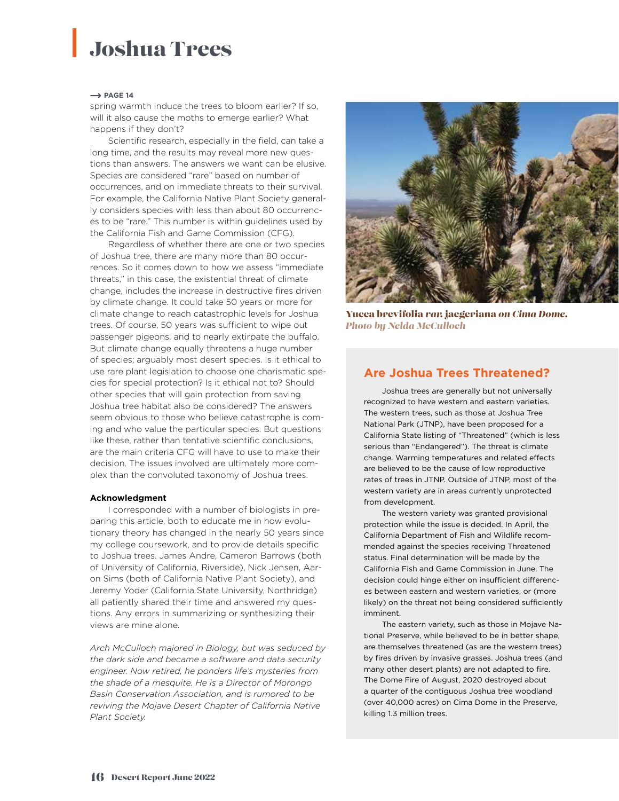### Joshua Trees

#### $\rightarrow$  PAGE 14

spring warmth induce the trees to bloom earlier? If so, will it also cause the moths to emerge earlier? What happens if they don't?

Scientific research, especially in the field, can take a long time, and the results may reveal more new questions than answers. The answers we want can be elusive. Species are considered "rare" based on number of occurrences, and on immediate threats to their survival. For example, the California Native Plant Society generally considers species with less than about 80 occurrences to be "rare." This number is within guidelines used by the California Fish and Game Commission (CFG).

Regardless of whether there are one or two species of Joshua tree, there are many more than 80 occurrences. So it comes down to how we assess "immediate threats," in this case, the existential threat of climate change, includes the increase in destructive fires driven by climate change. It could take 50 years or more for climate change to reach catastrophic levels for Joshua trees. Of course, 50 years was sufficient to wipe out passenger pigeons, and to nearly extirpate the buffalo. But climate change equally threatens a huge number of species; arguably most desert species. Is it ethical to use rare plant legislation to choose one charismatic species for special protection? Is it ethical not to? Should other species that will gain protection from saving Joshua tree habitat also be considered? The answers seem obvious to those who believe catastrophe is coming and who value the particular species. But questions like these, rather than tentative scientific conclusions, are the main criteria CFG will have to use to make their decision. The issues involved are ultimately more complex than the convoluted taxonomy of Joshua trees.

#### **Acknowledgment**

I corresponded with a number of biologists in preparing this article, both to educate me in how evolutionary theory has changed in the nearly 50 years since my college coursework, and to provide details specific to Joshua trees. James Andre, Cameron Barrows (both of University of California, Riverside), Nick Jensen, Aaron Sims (both of California Native Plant Society), and Jeremy Yoder (California State University, Northridge) all patiently shared their time and answered my questions. Any errors in summarizing or synthesizing their views are mine alone.

*Arch McCulloch majored in Biology, but was seduced by the dark side and became a software and data security engineer. Now retired, he ponders life's mysteries from the shade of a mesquite. He is a Director of Morongo Basin Conservation Association, and is rumored to be reviving the Mojave Desert Chapter of California Native Plant Society.*



Yucca brevifolia *var.* jaegeriana *on Cima Dome. Photo by Nelda McCulloch*

#### **Are Joshua Trees Threatened?**

Joshua trees are generally but not universally recognized to have western and eastern varieties. The western trees, such as those at Joshua Tree National Park (JTNP), have been proposed for a California State listing of "Threatened" (which is less serious than "Endangered"). The threat is climate change. Warming temperatures and related effects are believed to be the cause of low reproductive rates of trees in JTNP. Outside of JTNP, most of the western variety are in areas currently unprotected from development.

The western variety was granted provisional protection while the issue is decided. In April, the California Department of Fish and Wildlife recommended against the species receiving Threatened status. Final determination will be made by the California Fish and Game Commission in June. The decision could hinge either on insufficient differences between eastern and western varieties, or (more likely) on the threat not being considered sufficiently imminent.

The eastern variety, such as those in Mojave National Preserve, while believed to be in better shape, are themselves threatened (as are the western trees) by fires driven by invasive grasses. Joshua trees (and many other desert plants) are not adapted to fire. The Dome Fire of August, 2020 destroyed about a quarter of the contiguous Joshua tree woodland (over 40,000 acres) on Cima Dome in the Preserve, killing 1.3 million trees.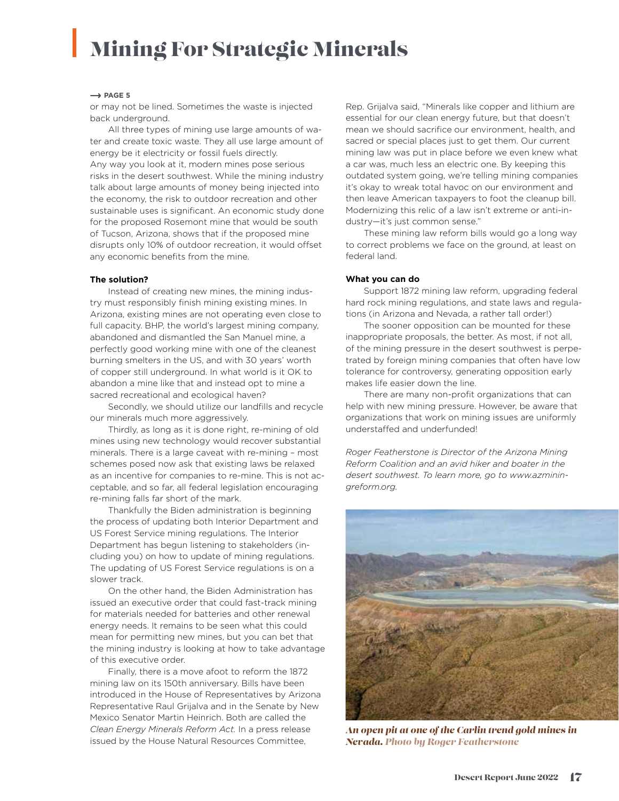## Mining For Strategic Minerals

#### $\rightarrow$  PAGE 5

or may not be lined. Sometimes the waste is injected back underground.

All three types of mining use large amounts of water and create toxic waste. They all use large amount of energy be it electricity or fossil fuels directly. Any way you look at it, modern mines pose serious risks in the desert southwest. While the mining industry talk about large amounts of money being injected into the economy, the risk to outdoor recreation and other sustainable uses is significant. An economic study done for the proposed Rosemont mine that would be south of Tucson, Arizona, shows that if the proposed mine disrupts only 10% of outdoor recreation, it would offset any economic benefits from the mine.

#### **The solution?**

Instead of creating new mines, the mining industry must responsibly finish mining existing mines. In Arizona, existing mines are not operating even close to full capacity. BHP, the world's largest mining company, abandoned and dismantled the San Manuel mine, a perfectly good working mine with one of the cleanest burning smelters in the US, and with 30 years' worth of copper still underground. In what world is it OK to abandon a mine like that and instead opt to mine a sacred recreational and ecological haven?

Secondly, we should utilize our landfills and recycle our minerals much more aggressively.

Thirdly, as long as it is done right, re-mining of old mines using new technology would recover substantial minerals. There is a large caveat with re-mining – most schemes posed now ask that existing laws be relaxed as an incentive for companies to re-mine. This is not acceptable, and so far, all federal legislation encouraging re-mining falls far short of the mark.

Thankfully the Biden administration is beginning the process of updating both Interior Department and US Forest Service mining regulations. The Interior Department has begun listening to stakeholders (including you) on how to update of mining regulations. The updating of US Forest Service regulations is on a slower track.

On the other hand, the Biden Administration has issued an executive order that could fast-track mining for materials needed for batteries and other renewal energy needs. It remains to be seen what this could mean for permitting new mines, but you can bet that the mining industry is looking at how to take advantage of this executive order.

Finally, there is a move afoot to reform the 1872 mining law on its 150th anniversary. Bills have been introduced in the House of Representatives by Arizona Representative Raul Grijalva and in the Senate by New Mexico Senator Martin Heinrich. Both are called the *Clean Energy Minerals Reform Act.* In a press release issued by the House Natural Resources Committee,

Rep. Grijalva said, "Minerals like copper and lithium are essential for our clean energy future, but that doesn't mean we should sacrifice our environment, health, and sacred or special places just to get them. Our current mining law was put in place before we even knew what a car was, much less an electric one. By keeping this outdated system going, we're telling mining companies it's okay to wreak total havoc on our environment and then leave American taxpayers to foot the cleanup bill. Modernizing this relic of a law isn't extreme or anti-industry—it's just common sense."

These mining law reform bills would go a long way to correct problems we face on the ground, at least on federal land.

#### **What you can do**

Support 1872 mining law reform, upgrading federal hard rock mining regulations, and state laws and regulations (in Arizona and Nevada, a rather tall order!)

The sooner opposition can be mounted for these inappropriate proposals, the better. As most, if not all, of the mining pressure in the desert southwest is perpetrated by foreign mining companies that often have low tolerance for controversy, generating opposition early makes life easier down the line.

There are many non-profit organizations that can help with new mining pressure. However, be aware that organizations that work on mining issues are uniformly understaffed and underfunded!

*Roger Featherstone is Director of the Arizona Mining Reform Coalition and an avid hiker and boater in the desert southwest. To learn more, go to www.azminingreform.org.* 



*An open pit at one of the Carlin trend gold mines in Nevada. Photo by Roger Featherstone*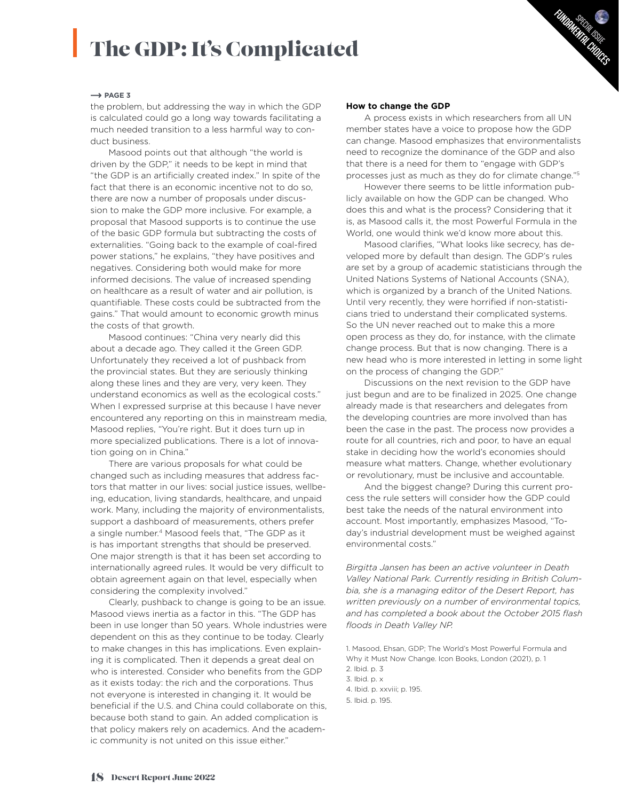## The GDP: It's Complicated

#### $\rightarrow$  PAGE 3

the problem, but addressing the way in which the GDP is calculated could go a long way towards facilitating a much needed transition to a less harmful way to conduct business.

Masood points out that although "the world is driven by the GDP," it needs to be kept in mind that "the GDP is an artificially created index." In spite of the fact that there is an economic incentive not to do so, there are now a number of proposals under discussion to make the GDP more inclusive. For example, a proposal that Masood supports is to continue the use of the basic GDP formula but subtracting the costs of externalities. "Going back to the example of coal-fired power stations," he explains, "they have positives and negatives. Considering both would make for more informed decisions. The value of increased spending on healthcare as a result of water and air pollution, is quantifiable. These costs could be subtracted from the gains." That would amount to economic growth minus the costs of that growth.

Masood continues: "China very nearly did this about a decade ago. They called it the Green GDP. Unfortunately they received a lot of pushback from the provincial states. But they are seriously thinking along these lines and they are very, very keen. They understand economics as well as the ecological costs." When I expressed surprise at this because I have never encountered any reporting on this in mainstream media, Masood replies, "You're right. But it does turn up in more specialized publications. There is a lot of innovation going on in China."

There are various proposals for what could be changed such as including measures that address factors that matter in our lives: social justice issues, wellbeing, education, living standards, healthcare, and unpaid work. Many, including the majority of environmentalists, support a dashboard of measurements, others prefer a single number.<sup>4</sup> Masood feels that, "The GDP as it is has important strengths that should be preserved. One major strength is that it has been set according to internationally agreed rules. It would be very difficult to obtain agreement again on that level, especially when considering the complexity involved."

Clearly, pushback to change is going to be an issue. Masood views inertia as a factor in this. "The GDP has been in use longer than 50 years. Whole industries were dependent on this as they continue to be today. Clearly to make changes in this has implications. Even explaining it is complicated. Then it depends a great deal on who is interested. Consider who benefits from the GDP as it exists today: the rich and the corporations. Thus not everyone is interested in changing it. It would be beneficial if the U.S. and China could collaborate on this, because both stand to gain. An added complication is that policy makers rely on academics. And the academic community is not united on this issue either."

#### **How to change the GDP**

A process exists in which researchers from all UN member states have a voice to propose how the GDP can change. Masood emphasizes that environmentalists need to recognize the dominance of the GDP and also that there is a need for them to "engage with GDP's processes just as much as they do for climate change."5

Sp<sub>ECIAL</sub> ISLE<br>MYTAL<sup>ISS</sup>UE FUNDAMENTAL CHUTES

However there seems to be little information publicly available on how the GDP can be changed. Who does this and what is the process? Considering that it is, as Masood calls it, the most Powerful Formula in the World, one would think we'd know more about this.

Masood clarifies, "What looks like secrecy, has developed more by default than design. The GDP's rules are set by a group of academic statisticians through the United Nations Systems of National Accounts (SNA), which is organized by a branch of the United Nations. Until very recently, they were horrified if non-statisticians tried to understand their complicated systems. So the UN never reached out to make this a more open process as they do, for instance, with the climate change process. But that is now changing. There is a new head who is more interested in letting in some light on the process of changing the GDP."

Discussions on the next revision to the GDP have just begun and are to be finalized in 2025. One change already made is that researchers and delegates from the developing countries are more involved than has been the case in the past. The process now provides a route for all countries, rich and poor, to have an equal stake in deciding how the world's economies should measure what matters. Change, whether evolutionary or revolutionary, must be inclusive and accountable.

And the biggest change? During this current process the rule setters will consider how the GDP could best take the needs of the natural environment into account. Most importantly, emphasizes Masood, "Today's industrial development must be weighed against environmental costs."

*Birgitta Jansen has been an active volunteer in Death Valley National Park. Currently residing in British Columbia, she is a managing editor of the Desert Report, has written previously on a number of environmental topics, and has completed a book about the October 2015 flash floods in Death Valley NP.*

1. Masood, Ehsan, GDP; The World's Most Powerful Formula and Why it Must Now Change. Icon Books, London (2021), p. 1 2. Ibid. p. 3

- 3. Ibid. p. x
- 4. Ibid. p. xxviii; p. 195.

5. Ibid. p. 195.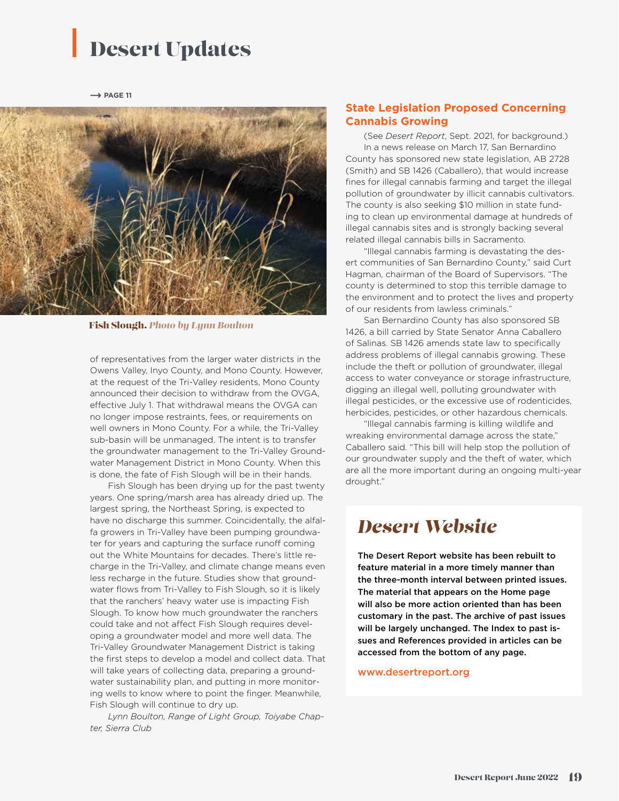### Desert Updates

 $\rightarrow$  PAGE 11



Fish Slough. *Photo by Lynn Boulton*

of representatives from the larger water districts in the Owens Valley, Inyo County, and Mono County. However, at the request of the Tri-Valley residents, Mono County announced their decision to withdraw from the OVGA, effective July 1. That withdrawal means the OVGA can no longer impose restraints, fees, or requirements on well owners in Mono County. For a while, the Tri-Valley sub-basin will be unmanaged. The intent is to transfer the groundwater management to the Tri-Valley Groundwater Management District in Mono County. When this is done, the fate of Fish Slough will be in their hands.

Fish Slough has been drying up for the past twenty years. One spring/marsh area has already dried up. The largest spring, the Northeast Spring, is expected to have no discharge this summer. Coincidentally, the alfalfa growers in Tri-Valley have been pumping groundwater for years and capturing the surface runoff coming out the White Mountains for decades. There's little recharge in the Tri-Valley, and climate change means even less recharge in the future. Studies show that groundwater flows from Tri-Valley to Fish Slough, so it is likely that the ranchers' heavy water use is impacting Fish Slough. To know how much groundwater the ranchers could take and not affect Fish Slough requires developing a groundwater model and more well data. The Tri-Valley Groundwater Management District is taking the first steps to develop a model and collect data. That will take years of collecting data, preparing a groundwater sustainability plan, and putting in more monitoring wells to know where to point the finger. Meanwhile, Fish Slough will continue to dry up.

*Lynn Boulton, Range of Light Group, Toiyabe Chapter, Sierra Club*

#### **State Legislation Proposed Concerning Cannabis Growing**

(See *Desert Report*, Sept. 2021, for background.) In a news release on March 17, San Bernardino

County has sponsored new state legislation, AB 2728 (Smith) and SB 1426 (Caballero), that would increase fines for illegal cannabis farming and target the illegal pollution of groundwater by illicit cannabis cultivators. The county is also seeking \$10 million in state funding to clean up environmental damage at hundreds of illegal cannabis sites and is strongly backing several related illegal cannabis bills in Sacramento.

"Illegal cannabis farming is devastating the desert communities of San Bernardino County," said Curt Hagman, chairman of the Board of Supervisors. "The county is determined to stop this terrible damage to the environment and to protect the lives and property of our residents from lawless criminals."

San Bernardino County has also sponsored SB 1426, a bill carried by State Senator Anna Caballero of Salinas. SB 1426 amends state law to specifically address problems of illegal cannabis growing. These include the theft or pollution of groundwater, illegal access to water conveyance or storage infrastructure, digging an illegal well, polluting groundwater with illegal pesticides, or the excessive use of rodenticides, herbicides, pesticides, or other hazardous chemicals.

"Illegal cannabis farming is killing wildlife and wreaking environmental damage across the state," Caballero said. "This bill will help stop the pollution of our groundwater supply and the theft of water, which are all the more important during an ongoing multi-year drought."

#### *Desert Website*

The Desert Report website has been rebuilt to feature material in a more timely manner than the three-month interval between printed issues. The material that appears on the Home page will also be more action oriented than has been customary in the past. The archive of past issues will be largely unchanged. The Index to past issues and References provided in articles can be accessed from the bottom of any page.

#### www.desertreport.org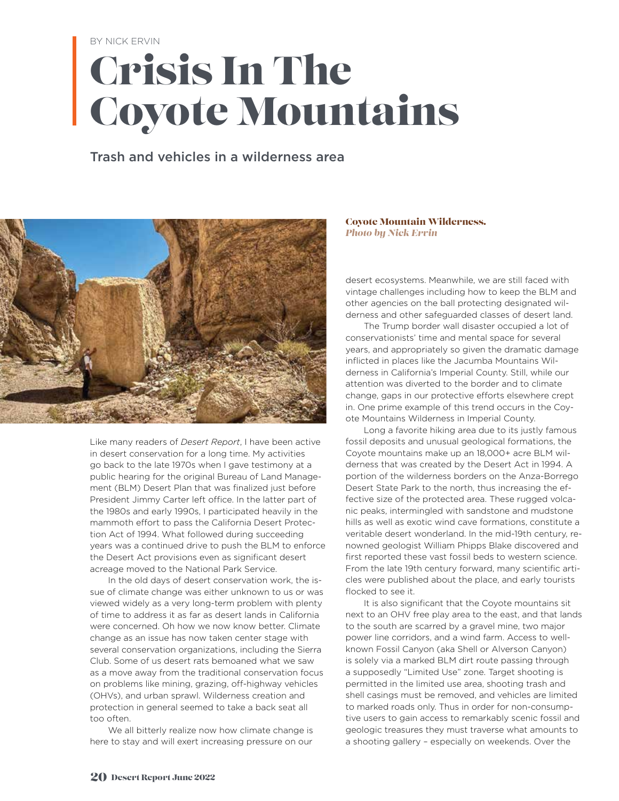BY NICK ERVIN

## Crisis In The Coyote Mountains

#### Trash and vehicles in a wilderness area



Like many readers of *Desert Report*, I have been active in desert conservation for a long time. My activities go back to the late 1970s when I gave testimony at a public hearing for the original Bureau of Land Management (BLM) Desert Plan that was finalized just before President Jimmy Carter left office. In the latter part of the 1980s and early 1990s, I participated heavily in the mammoth effort to pass the California Desert Protection Act of 1994. What followed during succeeding years was a continued drive to push the BLM to enforce the Desert Act provisions even as significant desert acreage moved to the National Park Service.

In the old days of desert conservation work, the issue of climate change was either unknown to us or was viewed widely as a very long-term problem with plenty of time to address it as far as desert lands in California were concerned. Oh how we now know better. Climate change as an issue has now taken center stage with several conservation organizations, including the Sierra Club. Some of us desert rats bemoaned what we saw as a move away from the traditional conservation focus on problems like mining, grazing, off-highway vehicles (OHVs), and urban sprawl. Wilderness creation and protection in general seemed to take a back seat all too often.

We all bitterly realize now how climate change is here to stay and will exert increasing pressure on our

#### Coyote Mountain Wilderness*. Photo by Nick Ervin*

desert ecosystems. Meanwhile, we are still faced with vintage challenges including how to keep the BLM and other agencies on the ball protecting designated wilderness and other safeguarded classes of desert land.

The Trump border wall disaster occupied a lot of conservationists' time and mental space for several years, and appropriately so given the dramatic damage inflicted in places like the Jacumba Mountains Wilderness in California's Imperial County. Still, while our attention was diverted to the border and to climate change, gaps in our protective efforts elsewhere crept in. One prime example of this trend occurs in the Coyote Mountains Wilderness in Imperial County.

Long a favorite hiking area due to its justly famous fossil deposits and unusual geological formations, the Coyote mountains make up an 18,000+ acre BLM wilderness that was created by the Desert Act in 1994. A portion of the wilderness borders on the Anza-Borrego Desert State Park to the north, thus increasing the effective size of the protected area. These rugged volcanic peaks, intermingled with sandstone and mudstone hills as well as exotic wind cave formations, constitute a veritable desert wonderland. In the mid-19th century, renowned geologist William Phipps Blake discovered and first reported these vast fossil beds to western science. From the late 19th century forward, many scientific articles were published about the place, and early tourists flocked to see it.

It is also significant that the Coyote mountains sit next to an OHV free play area to the east, and that lands to the south are scarred by a gravel mine, two major power line corridors, and a wind farm. Access to wellknown Fossil Canyon (aka Shell or Alverson Canyon) is solely via a marked BLM dirt route passing through a supposedly "Limited Use" zone. Target shooting is permitted in the limited use area, shooting trash and shell casings must be removed, and vehicles are limited to marked roads only. Thus in order for non-consumptive users to gain access to remarkably scenic fossil and geologic treasures they must traverse what amounts to a shooting gallery – especially on weekends. Over the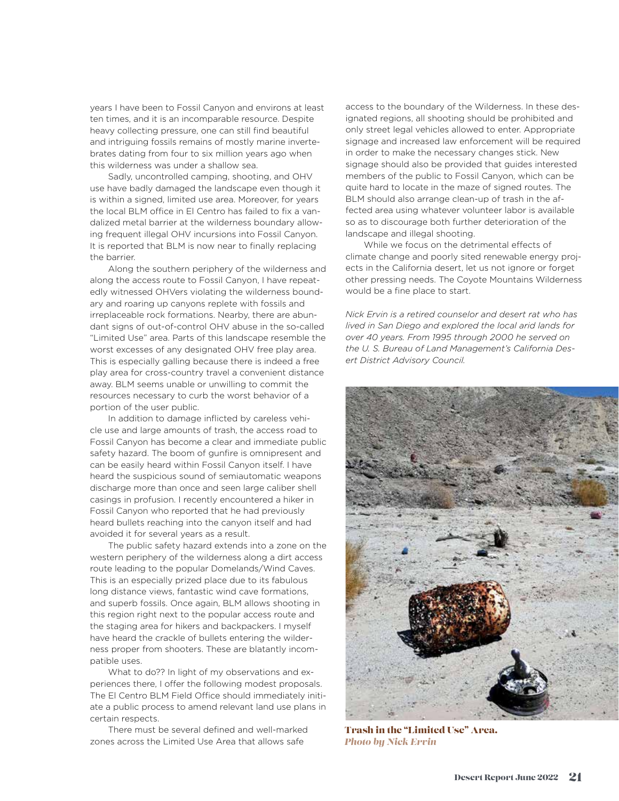years I have been to Fossil Canyon and environs at least ten times, and it is an incomparable resource. Despite heavy collecting pressure, one can still find beautiful and intriguing fossils remains of mostly marine invertebrates dating from four to six million years ago when this wilderness was under a shallow sea.

Sadly, uncontrolled camping, shooting, and OHV use have badly damaged the landscape even though it is within a signed, limited use area. Moreover, for years the local BLM office in El Centro has failed to fix a vandalized metal barrier at the wilderness boundary allowing frequent illegal OHV incursions into Fossil Canyon. It is reported that BLM is now near to finally replacing the barrier.

Along the southern periphery of the wilderness and along the access route to Fossil Canyon, I have repeatedly witnessed OHVers violating the wilderness boundary and roaring up canyons replete with fossils and irreplaceable rock formations. Nearby, there are abundant signs of out-of-control OHV abuse in the so-called "Limited Use" area. Parts of this landscape resemble the worst excesses of any designated OHV free play area. This is especially galling because there is indeed a free play area for cross-country travel a convenient distance away. BLM seems unable or unwilling to commit the resources necessary to curb the worst behavior of a portion of the user public.

In addition to damage inflicted by careless vehicle use and large amounts of trash, the access road to Fossil Canyon has become a clear and immediate public safety hazard. The boom of gunfire is omnipresent and can be easily heard within Fossil Canyon itself. I have heard the suspicious sound of semiautomatic weapons discharge more than once and seen large caliber shell casings in profusion. I recently encountered a hiker in Fossil Canyon who reported that he had previously heard bullets reaching into the canyon itself and had avoided it for several years as a result.

The public safety hazard extends into a zone on the western periphery of the wilderness along a dirt access route leading to the popular Domelands/Wind Caves. This is an especially prized place due to its fabulous long distance views, fantastic wind cave formations, and superb fossils. Once again, BLM allows shooting in this region right next to the popular access route and the staging area for hikers and backpackers. I myself have heard the crackle of bullets entering the wilderness proper from shooters. These are blatantly incompatible uses.

What to do?? In light of my observations and experiences there, I offer the following modest proposals. The El Centro BLM Field Office should immediately initiate a public process to amend relevant land use plans in certain respects.

There must be several defined and well-marked zones across the Limited Use Area that allows safe

access to the boundary of the Wilderness. In these designated regions, all shooting should be prohibited and only street legal vehicles allowed to enter. Appropriate signage and increased law enforcement will be required in order to make the necessary changes stick. New signage should also be provided that guides interested members of the public to Fossil Canyon, which can be quite hard to locate in the maze of signed routes. The BLM should also arrange clean-up of trash in the affected area using whatever volunteer labor is available so as to discourage both further deterioration of the landscape and illegal shooting.

While we focus on the detrimental effects of climate change and poorly sited renewable energy projects in the California desert, let us not ignore or forget other pressing needs. The Coyote Mountains Wilderness would be a fine place to start.

*Nick Ervin is a retired counselor and desert rat who has lived in San Diego and explored the local arid lands for over 40 years. From 1995 through 2000 he served on the U. S. Bureau of Land Management's California Desert District Advisory Council.*



Trash in the "Limited Use" Area. *Photo by Nick Ervin*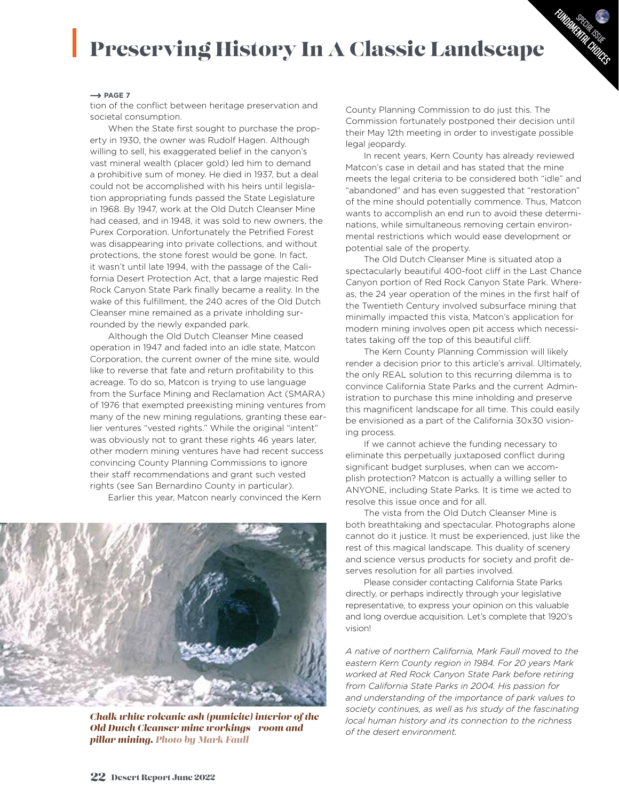### Preserving History In A Classic Landscape

#### $\rightarrow$  PAGE 7

tion of the conflict between heritage preservation and societal consumption.

When the State first sought to purchase the property in 1930, the owner was Rudolf Hagen. Although willing to sell, his exaggerated belief in the canyon's vast mineral wealth (placer gold) led him to demand a prohibitive sum of money. He died in 1937, but a deal could not be accomplished with his heirs until legislation appropriating funds passed the State Legislature in 1968. By 1947, work at the Old Dutch Cleanser Mine had ceased, and in 1948, it was sold to new owners, the Purex Corporation. Unfortunately the Petrified Forest was disappearing into private collections, and without protections, the stone forest would be gone. In fact, it wasn't until late 1994, with the passage of the California Desert Protection Act, that a large majestic Red Rock Canyon State Park finally became a reality. In the wake of this fulfillment, the 240 acres of the Old Dutch Cleanser mine remained as a private inholding surrounded by the newly expanded park.

Although the Old Dutch Cleanser Mine ceased operation in 1947 and faded into an idle state, Matcon Corporation, the current owner of the mine site, would like to reverse that fate and return profitability to this acreage. To do so, Matcon is trying to use language from the Surface Mining and Reclamation Act (SMARA) of 1976 that exempted preexisting mining ventures from many of the new mining regulations, granting these earlier ventures "vested rights." While the original "intent" was obviously not to grant these rights 46 years later, other modern mining ventures have had recent success convincing County Planning Commissions to ignore their staff recommendations and grant such vested rights (see San Bernardino County in particular).

Earlier this year, Matcon nearly convinced the Kern

*Chalk white volcanic ash (pumicite) interior of the Old Dutch Cleanser mine workings - room and pillar mining. Photo by Mark Faull*

County Planning Commission to do just this. The Commission fortunately postponed their decision until their May 12th meeting in order to investigate possible legal jeopardy.

Sp<sub>ECIAL</sub> ISSUE FUNDAMENTAL CHUTES

In recent years, Kern County has already reviewed Matcon's case in detail and has stated that the mine meets the legal criteria to be considered both "idle" and "abandoned" and has even suggested that "restoration" of the mine should potentially commence. Thus, Matcon wants to accomplish an end run to avoid these determinations, while simultaneous removing certain environmental restrictions which would ease development or potential sale of the property.

The Old Dutch Cleanser Mine is situated atop a spectacularly beautiful 400-foot cliff in the Last Chance Canyon portion of Red Rock Canyon State Park. Whereas, the 24 year operation of the mines in the first half of the Twentieth Century involved subsurface mining that minimally impacted this vista, Matcon's application for modern mining involves open pit access which necessitates taking off the top of this beautiful cliff.

The Kern County Planning Commission will likely render a decision prior to this article's arrival. Ultimately, the only REAL solution to this recurring dilemma is to convince California State Parks and the current Administration to purchase this mine inholding and preserve this magnificent landscape for all time. This could easily be envisioned as a part of the California 30x30 visioning process.

If we cannot achieve the funding necessary to eliminate this perpetually juxtaposed conflict during significant budget surpluses, when can we accomplish protection? Matcon is actually a willing seller to ANYONE, including State Parks. It is time we acted to resolve this issue once and for all.

The vista from the Old Dutch Cleanser Mine is both breathtaking and spectacular. Photographs alone cannot do it justice. It must be experienced, just like the rest of this magical landscape. This duality of scenery and science versus products for society and profit deserves resolution for all parties involved.

Please consider contacting California State Parks directly, or perhaps indirectly through your legislative representative, to express your opinion on this valuable and long overdue acquisition. Let's complete that 1920's vision!

*A native of northern California, Mark Faull moved to the eastern Kern County region in 1984. For 20 years Mark worked at Red Rock Canyon State Park before retiring from California State Parks in 2004. His passion for and understanding of the importance of park values to society continues, as well as his study of the fascinating local human history and its connection to the richness of the desert environment.*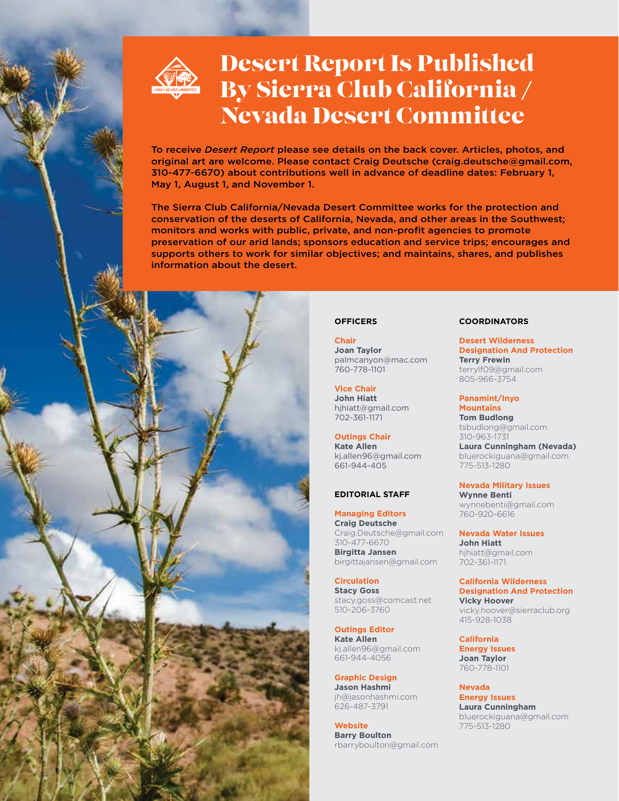

### Desert Report Is Published By Sierra Club California / Nevada Desert Committee

To receive *Desert Report* please see details on the back cover. Articles, photos, and original art are welcome. Please contact Craig Deutsche (craig.deutsche@gmail.com, 310-477-6670) about contributions well in advance of deadline dates: February 1, May 1, August 1, and November 1.

The Sierra Club California/Nevada Desert Committee works for the protection and conservation of the deserts of California, Nevada, and other areas in the Southwest; monitors and works with public, private, and non-profit agencies to promote preservation of our arid lands; sponsors education and service trips; encourages and supports others to work for similar objectives; and maintains, shares, and publishes information about the desert.



**Chair Joan Taylor** palmcanyon@mac.com 760-778-1101

**Vice Chair John Hiatt** hjhiatt@gmail.com 702-361-1171

**Outings Chair Kate Allen** kj.allen96@gmail.com 661-944-405

#### **EDITORIAL STAFF**

**Managing Editors Craig Deutsche** Craig.Deutsche@gmail.com 310-477-6670 **Birgitta Jansen** birgittajansen@gmail.com

**Circulation Stacy Goss** stacy.goss@comcast.net 510-206-3760

**Outings Editor Kate Allen** kj.allen96@gmail.com 661-944-4056

**Graphic Design Jason Hashmi** jh@jasonhashmi.com 626-487-3791

**Website Barry Boulton** rbarryboulton@gmail.com

#### **COORDINATORS**

**Desert Wilderness Designation And Protection Terry Frewin** terrylf09@gmail.com 805-966-3754

**Panamint/Inyo Mountains Tom Budlong** tsbudlong@gmail.com 310-963-1731 **Laura Cunningham (Nevada)**

bluerockiguana@gmail.com 775-513-1280

**Nevada Military Issues Wynne Benti** wynnebenti@gmail.com 760-920-6616

**Nevada Water Issues John Hiatt** hjhiatt@gmail.com 702-361-1171

**California Wilderness Designation And Protection Vicky Hoover**

vicky.hoover@sierraclub.org 415-928-1038

**California Energy Issues Joan Taylor** 760-778-1101

**Nevada Energy Issues Laura Cunningham** bluerockiguana@gmail.com 775-513-1280